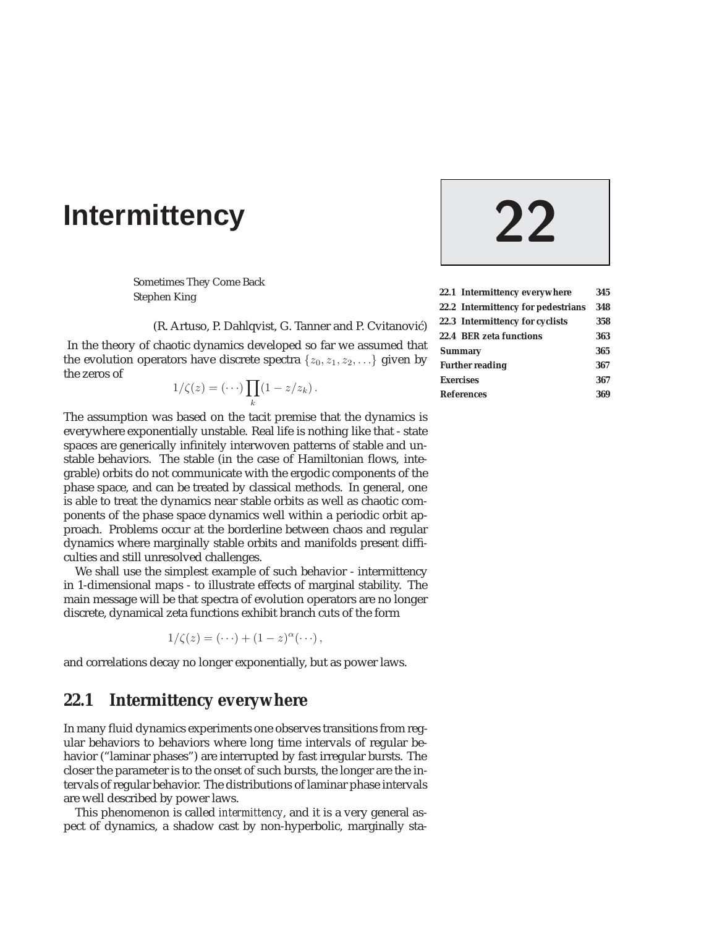# **Intermittency 22**

Sometimes They Come Back Stephen King

(R. Artuso, P. Dahlqvist, G. Tanner and P. Cvitanović)

In the theory of chaotic dynamics developed so far we assumed that the evolution operators have discrete spectra  $\{z_0, z_1, z_2, \ldots\}$  given by the zeros of

$$
1/\zeta(z) = (\cdots) \prod_k (1 - z/z_k).
$$

The assumption was based on the tacit premise that the dynamics is everywhere exponentially unstable. Real life is nothing like that - state spaces are generically infinitely interwoven patterns of stable and unstable behaviors. The stable (in the case of Hamiltonian flows, integrable) orbits do not communicate with the ergodic components of the phase space, and can be treated by classical methods. In general, one is able to treat the dynamics near stable orbits as well as chaotic components of the phase space dynamics well within a periodic orbit approach. Problems occur at the borderline between chaos and regular dynamics where marginally stable orbits and manifolds present difficulties and still unresolved challenges.

We shall use the simplest example of such behavior - intermittency in 1-dimensional maps - to illustrate effects of marginal stability. The main message will be that spectra of evolution operators are no longer discrete, dynamical zeta functions exhibit branch cuts of the form

$$
1/\zeta(z) = (\cdots) + (1-z)^{\alpha}(\cdots),
$$

and correlations decay no longer exponentially, but as power laws.

# **22.1 Intermittency everywhere**

In many fluid dynamics experiments one observes transitions from regular behaviors to behaviors where long time intervals of regular behavior ("laminar phases") are interrupted by fast irregular bursts. The closer the parameter is to the onset of such bursts, the longer are the intervals of regular behavior. The distributions of laminar phase intervals are well described by power laws.

This phenomenon is called *intermittency*, and it is a very general aspect of dynamics, a shadow cast by non-hyperbolic, marginally sta-

| 22.1 Intermittency everywhere      | 345 |  |
|------------------------------------|-----|--|
| 22.2 Intermittency for pedestrians | 348 |  |
| 22.3 Intermittency for cyclists    | 358 |  |
| 22.4 BER zeta functions            | 363 |  |
| <b>Summary</b>                     |     |  |
| <b>Further reading</b>             | 367 |  |
| <b>Exercises</b>                   | 367 |  |
| <b>References</b>                  | 369 |  |
|                                    |     |  |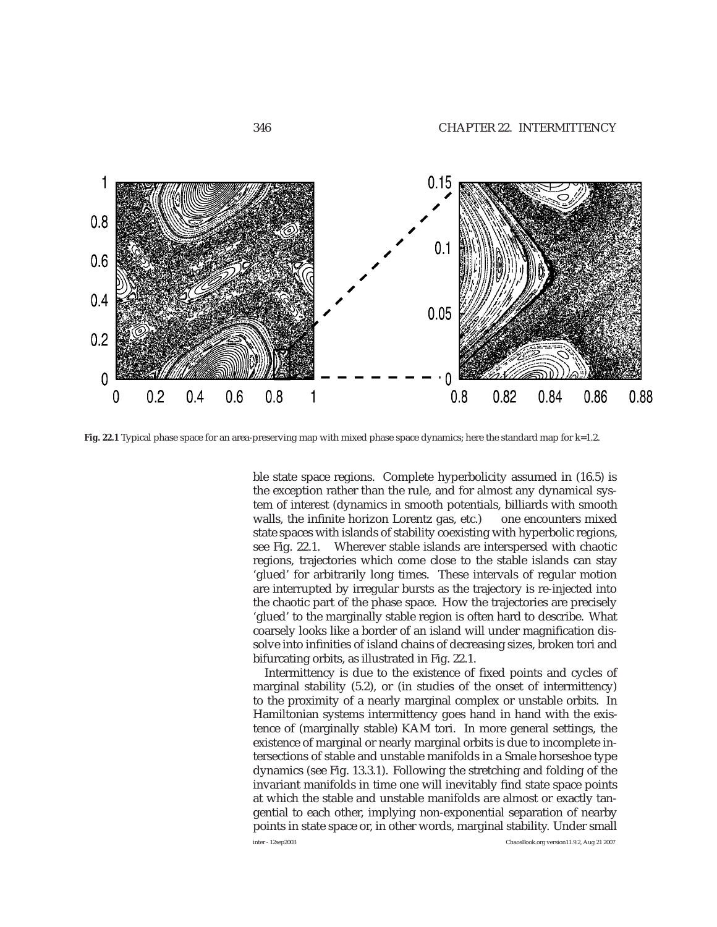

**Fig. 22.1** Typical phase space for an area-preserving map with mixed phase space dynamics; here the standard map for k=1.2.

ble state space regions. Complete hyperbolicity assumed in (16.5) is the exception rather than the rule, and for almost any dynamical system of interest (dynamics in smooth potentials, billiards with smooth walls, the infinite horizon Lorentz gas, etc.) one encounters mixed state spaces with islands of stability coexisting with hyperbolic regions, see Fig. 22.1. Wherever stable islands are interspersed with chaotic regions, trajectories which come close to the stable islands can stay 'glued' for arbitrarily long times. These intervals of regular motion are interrupted by irregular bursts as the trajectory is re-injected into the chaotic part of the phase space. How the trajectories are precisely 'glued' to the marginally stable region is often hard to describe. What coarsely looks like a border of an island will under magnification dissolve into infinities of island chains of decreasing sizes, broken tori and bifurcating orbits, as illustrated in Fig. 22.1.

Intermittency is due to the existence of fixed points and cycles of marginal stability (5.2), or (in studies of the onset of intermittency) to the proximity of a nearly marginal complex or unstable orbits. In Hamiltonian systems intermittency goes hand in hand with the existence of (marginally stable) KAM tori. In more general settings, the existence of marginal or nearly marginal orbits is due to incomplete intersections of stable and unstable manifolds in a Smale horseshoe type dynamics (see Fig. 13.3.1). Following the stretching and folding of the invariant manifolds in time one will inevitably find state space points at which the stable and unstable manifolds are almost or exactly tangential to each other, implying non-exponential separation of nearby points in state space or, in other words, marginal stability. Under small

inter - 12sep2003 ChaosBook.org version11.9.2, Aug 21 2007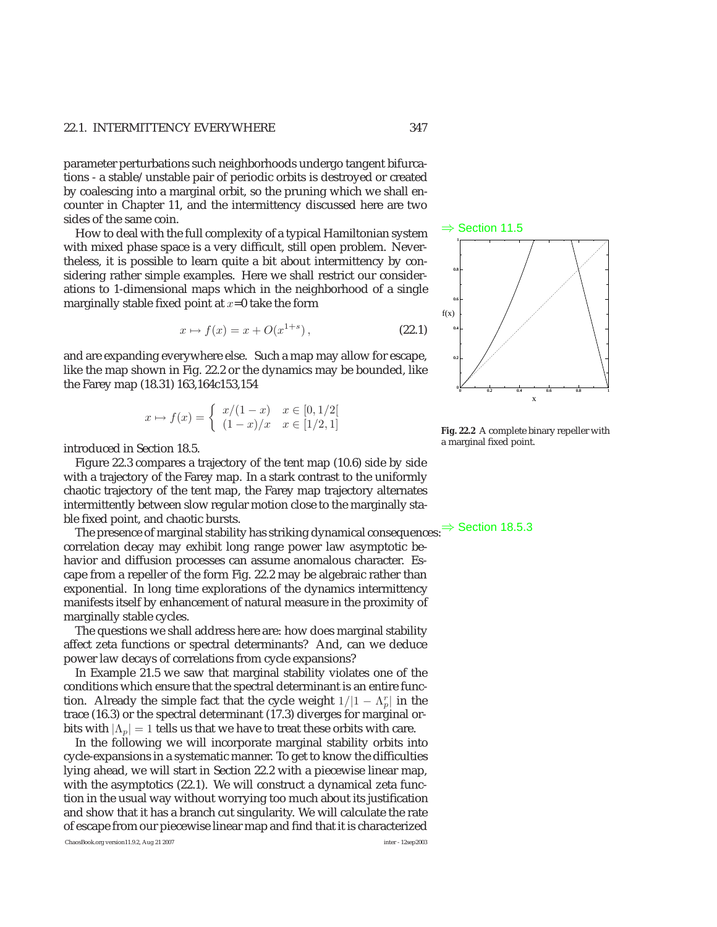#### 22.1. INTERMITTENCY EVERYWHERE 347

parameter perturbations such neighborhoods undergo tangent bifurcations - a stable/unstable pair of periodic orbits is destroyed or created by coalescing into a marginal orbit, so the pruning which we shall encounter in Chapter 11, and the intermittency discussed here are two sides of the same coin.

How to deal with the full complexity of a typical Hamiltonian system with mixed phase space is a very difficult, still open problem. Nevertheless, it is possible to learn quite a bit about intermittency by considering rather simple examples. Here we shall restrict our considerations to 1-dimensional maps which in the neighborhood of a single marginally stable fixed point at  $x=0$  take the form

$$
x \mapsto f(x) = x + O(x^{1+s}), \tag{22.1}
$$

and are expanding everywhere else. Such a map may allow for escape, like the map shown in Fig. 22.2 or the dynamics may be bounded, like the Farey map (18.31) 163,164c153,154

$$
x \mapsto f(x) = \begin{cases} x/(1-x) & x \in [0,1/2[ \\ (1-x)/x & x \in [1/2,1] \end{cases}
$$

introduced in Section 18.5.

Figure 22.3 compares a trajectory of the tent map (10.6) side by side with a trajectory of the Farey map. In a stark contrast to the uniformly chaotic trajectory of the tent map, the Farey map trajectory alternates intermittently between slow regular motion close to the marginally sta-

ble fixed point, and chaotic bursts.<br>The presence of marginal stability has striking dynamical consequences:  $\Rightarrow$  Section 18.5.3 correlation decay may exhibit long range power law asymptotic behavior and diffusion processes can assume anomalous character. Escape from a repeller of the form Fig. 22.2 may be algebraic rather than exponential. In long time explorations of the dynamics intermittency manifests itself by enhancement of natural measure in the proximity of marginally stable cycles.

The questions we shall address here are: how does marginal stability affect zeta functions or spectral determinants? And, can we deduce power law decays of correlations from cycle expansions?

In Example 21.5 we saw that marginal stability violates one of the conditions which ensure that the spectral determinant is an entire function. Already the simple fact that the cycle weight  $1/|1 - \Lambda_p^r|$  in the trace (16.3) or the spectral determinant (17.3) diverges for marginal orbits with  $|\Lambda_n| = 1$  tells us that we have to treat these orbits with care.

In the following we will incorporate marginal stability orbits into cycle-expansions in a systematic manner. To get to know the difficulties lying ahead, we will start in Section 22.2 with a piecewise linear map, with the asymptotics (22.1). We will construct a dynamical zeta function in the usual way without worrying too much about its justification and show that it has a branch cut singularity. We will calculate the rate of escape from our piecewise linear map and find that it is characterized

⇒ Section 11.5 0 0.2 0.4 0.6 0.8 1 x 0  $_{0.2}$ 0.4 0.6 0.8 1  $f(x)$ 

**Fig. 22.2** A complete binary repeller with a marginal fixed point.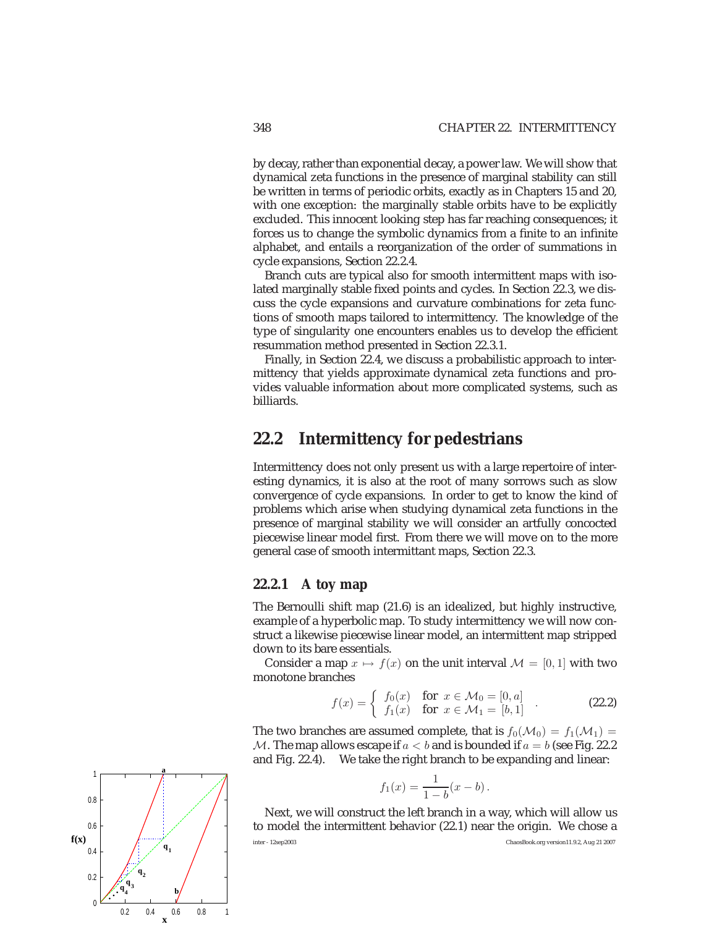by decay, rather than exponential decay, a power law. We will show that dynamical zeta functions in the presence of marginal stability can still be written in terms of periodic orbits, exactly as in Chapters 15 and 20, with one exception: the marginally stable orbits have to be explicitly excluded. This innocent looking step has far reaching consequences; it forces us to change the symbolic dynamics from a finite to an infinite alphabet, and entails a reorganization of the order of summations in cycle expansions, Section 22.2.4.

Branch cuts are typical also for smooth intermittent maps with isolated marginally stable fixed points and cycles. In Section 22.3, we discuss the cycle expansions and curvature combinations for zeta functions of smooth maps tailored to intermittency. The knowledge of the type of singularity one encounters enables us to develop the efficient resummation method presented in Section 22.3.1.

Finally, in Section 22.4, we discuss a probabilistic approach to intermittency that yields approximate dynamical zeta functions and provides valuable information about more complicated systems, such as billiards.

# **22.2 Intermittency for pedestrians**

Intermittency does not only present us with a large repertoire of interesting dynamics, it is also at the root of many sorrows such as slow convergence of cycle expansions. In order to get to know the kind of problems which arise when studying dynamical zeta functions in the presence of marginal stability we will consider an artfully concocted piecewise linear model first. From there we will move on to the more general case of smooth intermittant maps, Section 22.3.

# **22.2.1 A toy map**

The Bernoulli shift map (21.6) is an idealized, but highly instructive, example of a hyperbolic map. To study intermittency we will now construct a likewise piecewise linear model, an intermittent map stripped down to its bare essentials.

Consider a map  $x \mapsto f(x)$  on the unit interval  $\mathcal{M} = [0, 1]$  with two monotone branches

$$
f(x) = \begin{cases} f_0(x) & \text{for } x \in \mathcal{M}_0 = [0, a] \\ f_1(x) & \text{for } x \in \mathcal{M}_1 = [b, 1] \end{cases}
$$
 (22.2)

The two branches are assumed complete, that is  $f_0(\mathcal{M}_0) = f_1(\mathcal{M}_1) =$ M. The map allows escape if  $a < b$  and is bounded if  $a = b$  (see Fig. 22.2) and Fig. 22.4). We take the right branch to be expanding and linear:

$$
f_1(x) = \frac{1}{1-b}(x - b).
$$

Next, we will construct the left branch in a way, which will allow us to model the intermittent behavior (22.1) near the origin. We chose a inter - 12sep2003 ChaosBook.org version11.9.2, Aug 21 2007

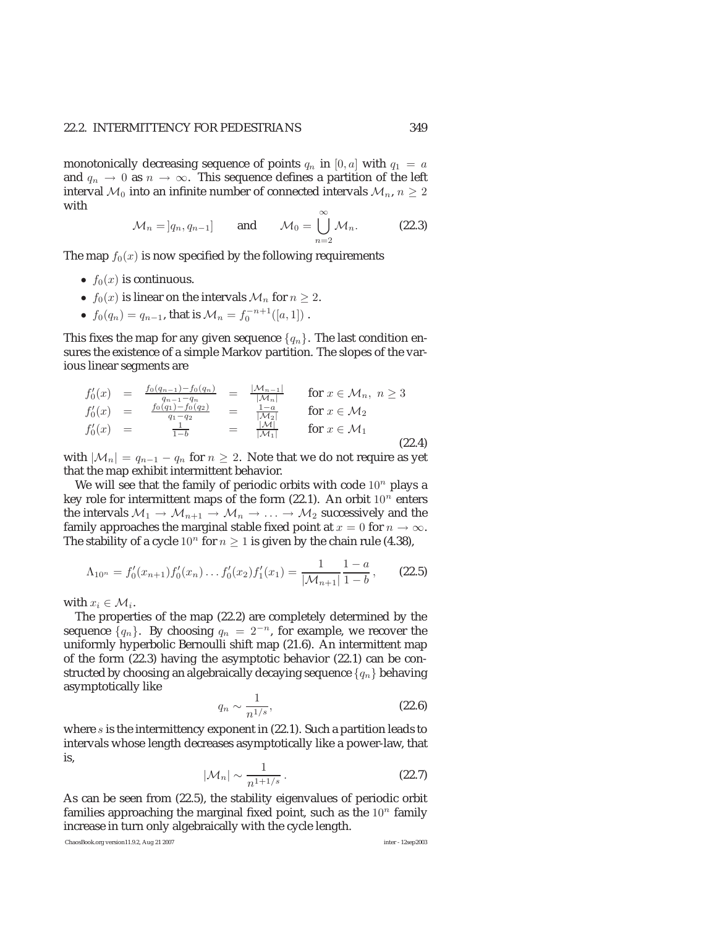monotonically decreasing sequence of points  $q_n$  in [0, a] with  $q_1 = a$ and  $q_n \to 0$  as  $n \to \infty$ . This sequence defines a partition of the left interval  $\mathcal{M}_0$  into an infinite number of connected intervals  $\mathcal{M}_n$ ,  $n \geq 2$ with ∞

$$
\mathcal{M}_n = [q_n, q_{n-1}] \quad \text{and} \quad \mathcal{M}_0 = \bigcup_{n=2}^{\infty} \mathcal{M}_n. \quad (22.3)
$$

The map  $f_0(x)$  is now specified by the following requirements

- $f_0(x)$  is continuous.
- $f_0(x)$  is linear on the intervals  $\mathcal{M}_n$  for  $n \ge 2$ .
- $f_0(q_n) = q_{n-1}$ , that is  $\mathcal{M}_n = f_0^{-n+1}([a, 1])$ .

This fixes the map for any given sequence  $\{q_n\}$ . The last condition ensures the existence of a simple Markov partition. The slopes of the various linear segments are

$$
f_0'(x) = f_{0}(x) = f_{0}(q_n) - f_{0}(q_n) = f_{0}(q_n) = f_{0}(q_n) = f_{0}(q_n) = f_{0}(q_n) = f_{0}(q_n) = f_{0}(q_n) = f_{0}(q_n) = f_{0}(q_n) = f_{0}(q_n) = f_{0}(q_n) = f_{0}(q_n) = f_{0}(q_n) = f_{0}(q_n) = f_{0}(q_n) = f_{0}(q_n) = f_{0}(q_n) = f_{0}(q_n) = f_{0}(q_n) = f_{0}(q_n) = f_{0}(q_n) = f_{0}(q_n) = f_{0}(q_n) = f_{0}(q_n) = f_{0}(q_n) = f_{0}(q_n) = f_{0}(q_n) = f_{0}(q_n) = f_{0}(q_n) = f_{0}(q_n) = f_{0}(q_n) = f_{0}(q_n) = f_{0}(q_n) = f_{0}(q_n) = f_{0}(q_n) = f_{0}(q_n) = f_{0}(q_n) = f_{0}(q_n) = f_{0}(q_n) = f_{0}(q_n) = f_{0}(q_n) = f_{0}(q_n) = f_{0}(q_n) = f_{0}(q_n) = f_{0}(q_n) = f_{0}(q_n) = f_{0}(q_n) = f_{0}(q_n) = f_{0}(q_n) = f_{0}(q_n) = f_{0}(q_n) = f_{0}(q_n) = f_{0}(q_n) = f_{0}(q_n) = f_{0}(q_n) = f_{0}(q_n) = f_{0}(q_n) = f_{0}(q_n) = f_{0}(q_n) = f_{0}(q_n) = f_{0}(q_n) = f_{0}(q_n) = f_{0}(q_n) = f_{0}(q_n) = f_{0}(q_n) = f_{0}(q_n) = f_{0}(q_n) = f_{0}(q_n) = f_{0}(q_n) = f_{0}(q_n) = f_{0}(q_n) = f_{0}(q_n) = f_{0}(q_n) = f_{0}(q_n) = f_{0}(q_n) = f_{0}(q_n) = f_{0}(q_n) = f_{0}(q_n) = f_{0}(q_n) = f_{0}(q_n) = f_{0}(q_n) = f_{0}(q_n) = f_{0}(q_n) = f_{0}(q_n) = f_{0}(q_n) = f_{0}(q_n) = f_{0}(q_n) = f_{0}(q_n) = f_{0}(q_n) = f_{0}(q_n) = f_{0}(q_n) = f_{0}(q_n) = f
$$

with  $|\mathcal{M}_n| = q_{n-1} - q_n$  for  $n \geq 2$ . Note that we do not require as yet that the map exhibit intermittent behavior.

We will see that the family of periodic orbits with code  $10^n$  plays a key role for intermittent maps of the form (22.1). An orbit  $10^n$  enters the intervals  $M_1 \to M_{n+1} \to M_n \to \ldots \to M_2$  successively and the family approaches the marginal stable fixed point at  $x = 0$  for  $n \to \infty$ . The stability of a cycle  $10^n$  for  $n \ge 1$  is given by the chain rule (4.38),

$$
\Lambda_{10^n} = f'_0(x_{n+1}) f'_0(x_n) \dots f'_0(x_2) f'_1(x_1) = \frac{1}{|\mathcal{M}_{n+1}|} \frac{1-a}{1-b}, \qquad \textbf{(22.5)}
$$

with  $x_i \in \mathcal{M}_i$ .

The properties of the map (22.2) are completely determined by the sequence  $\{q_n\}$ . By choosing  $q_n = 2^{-n}$ , for example, we recover the uniformly hyperbolic Bernoulli shift map (21.6). An intermittent map of the form (22.3) having the asymptotic behavior (22.1) can be constructed by choosing an algebraically decaying sequence  $\{q_n\}$  behaving asymptotically like

$$
q_n \sim \frac{1}{n^{1/s}},\tag{22.6}
$$

where s is the intermittency exponent in (22.1). Such a partition leads to intervals whose length decreases asymptotically like a power-law, that is,

$$
|\mathcal{M}_n| \sim \frac{1}{n^{1+1/s}}.\tag{22.7}
$$

As can be seen from (22.5), the stability eigenvalues of periodic orbit families approaching the marginal fixed point, such as the  $10^n$  family increase in turn only algebraically with the cycle length.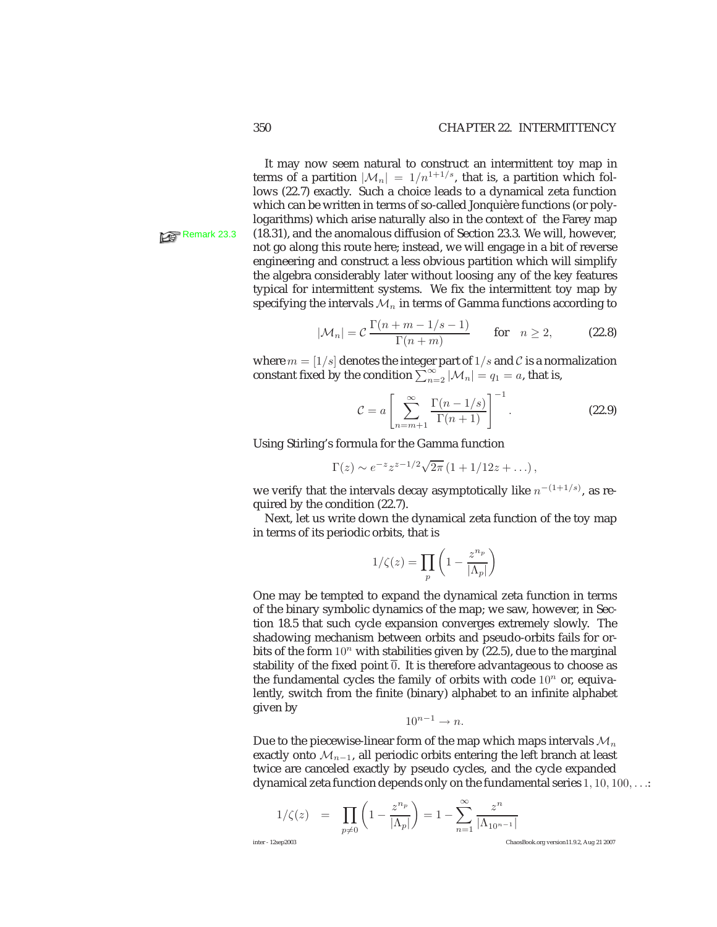It may now seem natural to construct an intermittent toy map in terms of a partition  $|\mathcal{M}_n| = 1/n^{1+1/s}$ , that is, a partition which follows (22.7) exactly. Such a choice leads to a dynamical zeta function which can be written in terms of so-called Jonquière functions (or polylogarithms) which arise naturally also in the context of the Farey map Remark 23.3 (18.31), and the anomalous diffusion of Section 23.3. We will, however, not go along this route here; instead, we will engage in a bit of reverse engineering and construct a less obvious partition which will simplify the algebra considerably later without loosing any of the key features typical for intermittent systems. We fix the intermittent toy map by specifying the intervals  $\mathcal{M}_n$  in terms of Gamma functions according to

$$
|\mathcal{M}_n| = C \frac{\Gamma(n+m-1/s-1)}{\Gamma(n+m)} \quad \text{for} \quad n \ge 2,
$$
 (22.8)

where  $m = \lfloor 1/s \rfloor$  denotes the integer part of  $1/s$  and C is a normalization constant fixed by the condition  $\sum_{n=2}^{\infty} |\mathcal{M}_n| = q_1 = a$ , that is,

$$
\mathcal{C} = a \left[ \sum_{n=m+1}^{\infty} \frac{\Gamma(n-1/s)}{\Gamma(n+1)} \right]^{-1}.
$$
 (22.9)

Using Stirling's formula for the Gamma function

$$
\Gamma(z) \sim e^{-z} z^{z-1/2} \sqrt{2\pi} (1 + 1/12z + ...),
$$

we verify that the intervals decay asymptotically like  $n^{-(1+1/s)}$ , as required by the condition (22.7).

Next, let us write down the dynamical zeta function of the toy map in terms of its periodic orbits, that is

$$
1/\zeta(z)=\prod_{p}\left(1-\frac{z^{n_p}}{|\Lambda_p|}\right)
$$

One may be tempted to expand the dynamical zeta function in terms of the binary symbolic dynamics of the map; we saw, however, in Section 18.5 that such cycle expansion converges extremely slowly. The shadowing mechanism between orbits and pseudo-orbits fails for orbits of the form  $10^n$  with stabilities given by (22.5), due to the marginal stability of the fixed point  $\overline{0}$ . It is therefore advantageous to choose as the fundamental cycles the family of orbits with code  $10<sup>n</sup>$  or, equivalently, switch from the finite (binary) alphabet to an infinite alphabet given by

$$
10^{n-1} \to n.
$$

Due to the piecewise-linear form of the map which maps intervals  $\mathcal{M}_n$ exactly onto  $\mathcal{M}_{n-1}$ , all periodic orbits entering the left branch at least twice are canceled exactly by pseudo cycles, and the cycle expanded dynamical zeta function depends only on the fundamental series  $1, 10, 100, \ldots$ :

$$
1/\zeta(z) = \prod_{p \neq 0} \left(1 - \frac{z^{n_p}}{|\Lambda_p|}\right) = 1 - \sum_{n=1}^{\infty} \frac{z^n}{|\Lambda_{10^{n-1}}|}
$$
\ninter-12sep2003

\nChassBook.org version11.9.2, Aug 21 2007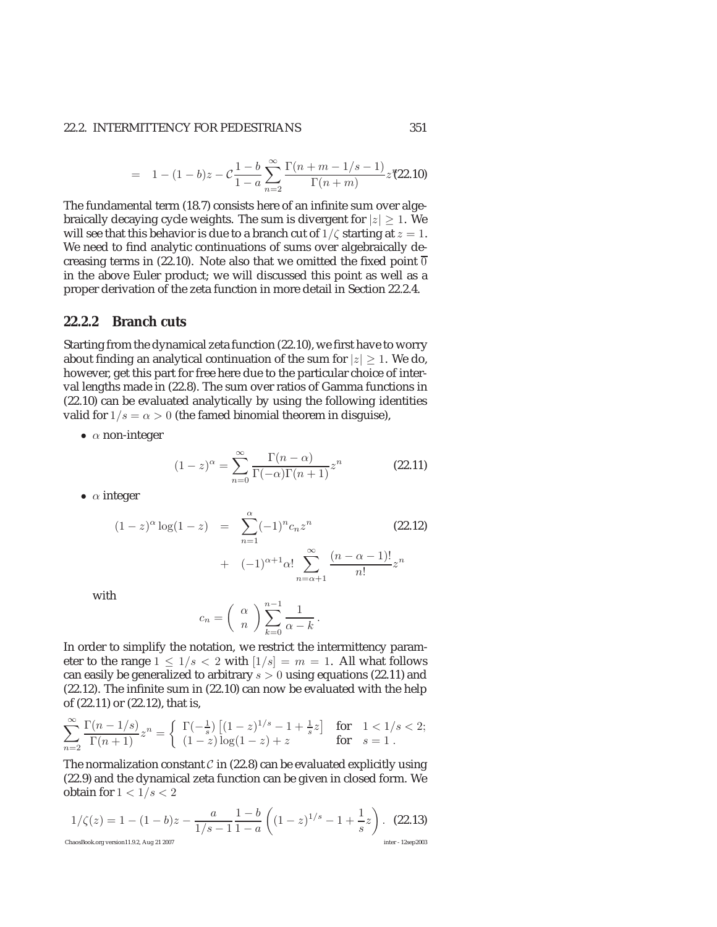# 22.2. INTERMITTENCY FOR PEDESTRIANS 351

$$
= 1 - (1 - b)z - C\frac{1 - b}{1 - a}\sum_{n=2}^{\infty} \frac{\Gamma(n + m - 1/s - 1)}{\Gamma(n + m)} z^{n} (22.10)
$$

The fundamental term (18.7) consists here of an infinite sum over algebraically decaying cycle weights. The sum is divergent for  $|z| \geq 1$ . We will see that this behavior is due to a branch cut of  $1/\zeta$  starting at  $z = 1$ . We need to find analytic continuations of sums over algebraically decreasing terms in (22.10). Note also that we omitted the fixed point  $\overline{0}$ in the above Euler product; we will discussed this point as well as a proper derivation of the zeta function in more detail in Section 22.2.4.

# **22.2.2 Branch cuts**

Starting from the dynamical zeta function (22.10), we first have to worry about finding an analytical continuation of the sum for  $|z| \geq 1$ . We do, however, get this part for free here due to the particular choice of interval lengths made in (22.8). The sum over ratios of Gamma functions in (22.10) can be evaluated analytically by using the following identities valid for  $1/s = \alpha > 0$  (the famed binomial theorem in disguise),

•  $\alpha$  non-integer

$$
(1-z)^{\alpha} = \sum_{n=0}^{\infty} \frac{\Gamma(n-\alpha)}{\Gamma(-\alpha)\Gamma(n+1)} z^n
$$
 (22.11)

 $n=\alpha+1$ 

•  $\alpha$  integer

$$
(1-z)^{\alpha} \log(1-z) = \sum_{n=1}^{\alpha} (-1)^n c_n z^n
$$
\n
$$
+ (-1)^{\alpha+1} \alpha! \sum_{n=1}^{\infty} \frac{(n-\alpha-1)!}{n!} z^n
$$
\n(22.12)

with

$$
c_n = \left(\begin{array}{c} \alpha \\ n \end{array}\right) \sum_{k=0}^{n-1} \frac{1}{\alpha - k} \, .
$$

In order to simplify the notation, we restrict the intermittency parameter to the range  $1 \leq 1/s < 2$  with  $[1/s] = m = 1$ . All what follows can easily be generalized to arbitrary  $s > 0$  using equations (22.11) and (22.12). The infinite sum in (22.10) can now be evaluated with the help of (22.11) or (22.12), that is,

$$
\sum_{n=2}^\infty\frac{\Gamma(n-1/s)}{\Gamma(n+1)}z^n=\left\{\begin{array}{ll}\Gamma(-\frac{1}{s})\left[(1-z)^{1/s}-1+\frac{1}{s}z\right] & \text{for}\quad 1<1/s<2;\\ (1-z)\log(1-z)+z & \text{for}\quad s=1\;.\end{array}\right.
$$

The normalization constant  $\mathcal C$  in (22.8) can be evaluated explicitly using (22.9) and the dynamical zeta function can be given in closed form. We obtain for  $1 < 1/s < 2$ 

$$
1/\zeta(z) = 1 - (1 - b)z - \frac{a}{1/s - 1} \frac{1 - b}{1 - a} \left( (1 - z)^{1/s} - 1 + \frac{1}{s} z \right). \tag{22.13}
$$
  
ChaosBook.org version11.9.2, Aug 21 2007  
Inter-12sep2003  
Inter-12sep2003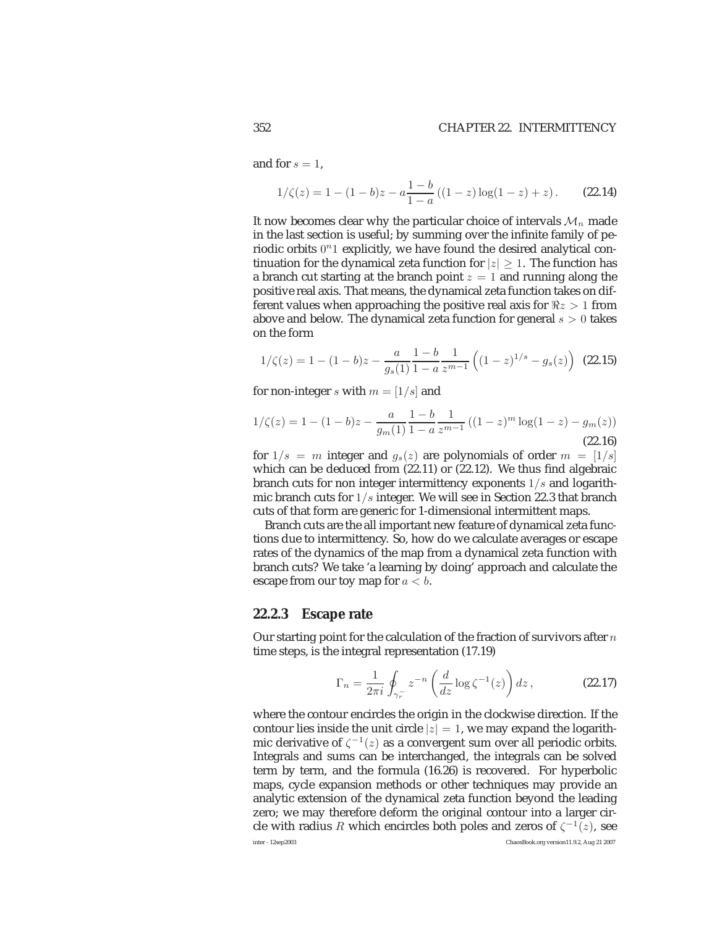and for  $s = 1$ .

$$
1/\zeta(z) = 1 - (1 - b)z - a\frac{1 - b}{1 - a}\left((1 - z)\log(1 - z) + z\right). \tag{22.14}
$$

It now becomes clear why the particular choice of intervals  $\mathcal{M}_n$  made in the last section is useful; by summing over the infinite family of periodic orbits  $0<sup>n</sup>1$  explicitly, we have found the desired analytical continuation for the dynamical zeta function for  $|z| \geq 1$ . The function has a branch cut starting at the branch point  $z = 1$  and running along the positive real axis. That means, the dynamical zeta function takes on different values when approaching the positive real axis for  $\Re z > 1$  from above and below. The dynamical zeta function for general  $s > 0$  takes on the form

$$
1/\zeta(z) = 1 - (1 - b)z - \frac{a}{g_s(1)} \frac{1 - b}{1 - a} \frac{1}{z^{m-1}} \left( (1 - z)^{1/s} - g_s(z) \right) \tag{22.15}
$$

for non-integer s with  $m = \lfloor 1/s \rfloor$  and

$$
1/\zeta(z) = 1 - (1 - b)z - \frac{a}{g_m(1)} \frac{1 - b}{1 - a} \frac{1}{z^{m-1}} \left( (1 - z)^m \log(1 - z) - g_m(z) \right)
$$
\n(22.16)

for  $1/s = m$  integer and  $g_s(z)$  are polynomials of order  $m = \lfloor 1/s \rfloor$ which can be deduced from (22.11) or (22.12). We thus find algebraic branch cuts for non integer intermittency exponents  $1/s$  and logarithmic branch cuts for  $1/s$  integer. We will see in Section 22.3 that branch cuts of that form are generic for 1-dimensional intermittent maps.

Branch cuts are the all important new feature of dynamical zeta functions due to intermittency. So, how do we calculate averages or escape rates of the dynamics of the map from a dynamical zeta function with branch cuts? We take 'a learning by doing' approach and calculate the escape from our toy map for  $a < b$ .

# **22.2.3 Escape rate**

Our starting point for the calculation of the fraction of survivors after  $n$ time steps, is the integral representation (17.19)

$$
\Gamma_n = \frac{1}{2\pi i} \oint_{\gamma_r^-} z^{-n} \left( \frac{d}{dz} \log \zeta^{-1}(z) \right) dz , \qquad (22.17)
$$

where the contour encircles the origin in the clockwise direction. If the contour lies inside the unit circle  $|z| = 1$ , we may expand the logarithmic derivative of  $\zeta^{-1}(z)$  as a convergent sum over all periodic orbits. Integrals and sums can be interchanged, the integrals can be solved term by term, and the formula (16.26) is recovered. For hyperbolic maps, cycle expansion methods or other techniques may provide an analytic extension of the dynamical zeta function beyond the leading zero; we may therefore deform the original contour into a larger circle with radius R which encircles both poles and zeros of  $\zeta^{-1}(z)$ , see inter - 12sep2003 ChaosBook.org version11.9.2, Aug 21 2007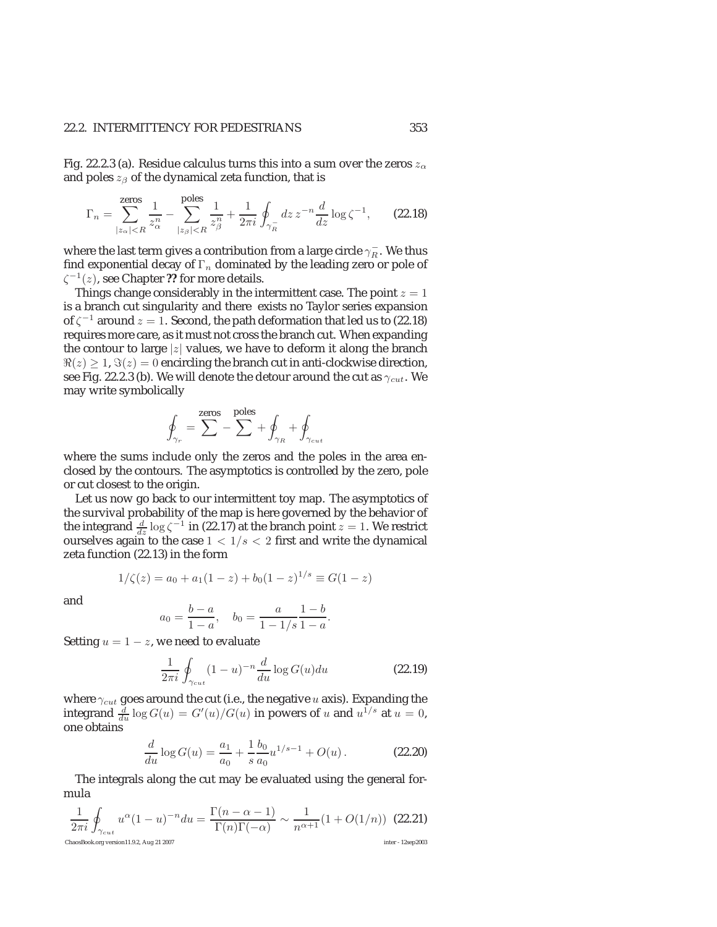## 22.2. INTERMITTENCY FOR PEDESTRIANS 353

Fig. 22.2.3 (a). Residue calculus turns this into a sum over the zeros  $z_{\alpha}$ and poles  $z_{\beta}$  of the dynamical zeta function, that is

$$
\Gamma_n = \sum_{|z_\alpha| < R}^{ \text{zeros} } \frac{1}{z_\alpha^n} - \sum_{|z_\beta| < R}^{ \text{poles} } \frac{1}{z_\beta^n} + \frac{1}{2\pi i} \oint_{\gamma_R^-} dz \, z^{-n} \frac{d}{dz} \log \zeta^{-1}, \qquad \text{(22.18)}
$$

where the last term gives a contribution from a large circle  $\gamma_R^-$ . We thus find exponential decay of  $\Gamma_n$  dominated by the leading zero or pole of ζ<sup>−</sup>1(z), see Chapter **??** for more details.

Things change considerably in the intermittent case. The point  $z = 1$ is a branch cut singularity and there exists no Taylor series expansion of  $\zeta^{-1}$  around  $z = 1$ . Second, the path deformation that led us to (22.18) requires more care, as it must not cross the branch cut. When expanding the contour to large |z| values, we have to deform it along the branch  $\Re(z) \geq 1$ ,  $\Im(z) = 0$  encircling the branch cut in anti-clockwise direction, see Fig. 22.2.3 (b). We will denote the detour around the cut as  $\gamma_{cut}$ . We may write symbolically

$$
\oint_{\gamma_r} = \sum^{\text{zeros}} - \sum^{\text{poles}} + \oint_{\gamma_R} + \oint_{\gamma_{cut}}
$$

where the sums include only the zeros and the poles in the area enclosed by the contours. The asymptotics is controlled by the zero, pole or cut closest to the origin.

Let us now go back to our intermittent toy map. The asymptotics of the survival probability of the map is here governed by the behavior of the integrand  $\frac{d}{dz}$  log  $\zeta^{-1}$  in (22.17) at the branch point  $z = 1$ . We restrict ourselves again to the case  $1 < 1/s < 2$  first and write the dynamical zeta function (22.13) in the form

$$
1/\zeta(z) = a_0 + a_1(1-z) + b_0(1-z)^{1/s} \equiv G(1-z)
$$

and

$$
a_0 = \frac{b-a}{1-a}, \quad b_0 = \frac{a}{1-1/s} \frac{1-b}{1-a}.
$$

Setting  $u = 1 - z$ , we need to evaluate

$$
\frac{1}{2\pi i} \oint_{\gamma_{cut}} (1-u)^{-n} \frac{d}{du} \log G(u) du \tag{22.19}
$$

where  $\gamma_{cut}$  goes around the cut (i.e., the negative  $u$  axis). Expanding the integrand  $\frac{d}{du} \log G(u) = G'(u)/G(u)$  in powers of u and  $u^{1/s}$  at  $u = 0$ , one obtains

$$
\frac{d}{du}\log G(u) = \frac{a_1}{a_0} + \frac{1}{s}\frac{b_0}{a_0}u^{1/s-1} + O(u) \,. \tag{22.20}
$$

The integrals along the cut may be evaluated using the general formula

$$
\frac{1}{2\pi i}\oint_{\gamma_{cut}} u^{\alpha}(1-u)^{-n}du = \frac{\Gamma(n-\alpha-1)}{\Gamma(n)\Gamma(-\alpha)} \sim \frac{1}{n^{\alpha+1}}(1+O(1/n)) \tag{22.21}
$$
  
Chas**Book.org** version11.9.2, Aug 21 2007  
Inter - 12sep2003  
Inter - 12sep2003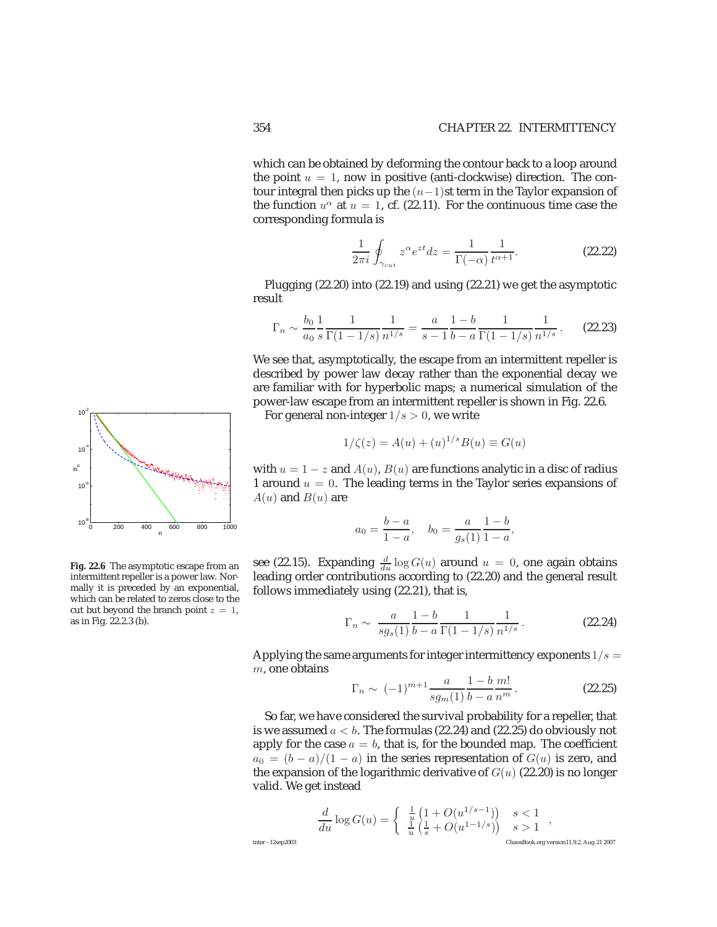which can be obtained by deforming the contour back to a loop around the point  $u = 1$ , now in positive (anti-clockwise) direction. The contour integral then picks up the  $(n-1)$ st term in the Taylor expansion of the function  $u^{\alpha}$  at  $u = 1$ , cf. (22.11). For the continuous time case the corresponding formula is

$$
\frac{1}{2\pi i} \oint_{\gamma_{cut}} z^{\alpha} e^{zt} dz = \frac{1}{\Gamma(-\alpha)} \frac{1}{t^{\alpha+1}}.
$$
 (22.22)

Plugging (22.20) into (22.19) and using (22.21) we get the asymptotic result

$$
\Gamma_n \sim \frac{b_0}{a_0} \frac{1}{s} \frac{1}{\Gamma(1 - 1/s)} \frac{1}{n^{1/s}} = \frac{a}{s - 1} \frac{1 - b}{b - a} \frac{1}{\Gamma(1 - 1/s)} \frac{1}{n^{1/s}}.
$$
 (22.23)

We see that, asymptotically, the escape from an intermittent repeller is described by power law decay rather than the exponential decay we are familiar with for hyperbolic maps; a numerical simulation of the power-law escape from an intermittent repeller is shown in Fig. 22.6.

For general non-integer  $1/s > 0$ , we write

$$
1/\zeta(z) = A(u) + (u)^{1/s} B(u) \equiv G(u)
$$

with  $u = 1 - z$  and  $A(u)$ ,  $B(u)$  are functions analytic in a disc of radius 1 around  $u = 0$ . The leading terms in the Taylor series expansions of  $A(u)$  and  $B(u)$  are

$$
a_0 = \frac{b-a}{1-a}
$$
,  $b_0 = \frac{a}{g_s(1)}\frac{1-b}{1-a}$ ,

see (22.15). Expanding  $\frac{d}{du} \log G(u)$  around  $u = 0$ , one again obtains leading order contributions according to (22.20) and the general result follows immediately using (22.21), that is,

$$
\Gamma_n \sim \frac{a}{sg_s(1)} \frac{1-b}{b-a} \frac{1}{\Gamma(1-1/s)} \frac{1}{n^{1/s}}.
$$
 (22.24)

Applying the same arguments for integer intermittency exponents  $1/s =$  $m$ , one obtains

$$
\Gamma_n \sim (-1)^{m+1} \frac{a}{sg_m(1)} \frac{1-b}{b-a} \frac{m!}{n^m} \,. \tag{22.25}
$$

So far, we have considered the survival probability for a repeller, that is we assumed  $a < b$ . The formulas (22.24) and (22.25) do obviously not apply for the case  $a = b$ , that is, for the bounded map. The coefficient  $a_0 = (b - a)/(1 - a)$  in the series representation of  $G(u)$  is zero, and the expansion of the logarithmic derivative of  $G(u)$  (22.20) is no longer valid. We get instead

$$
\frac{d}{du}\log G(u)=\left\{\begin{array}{ll} \frac{1}{u}\left(1+O(u^{1/s-1})\right) & s<1\\ \frac{1}{u}\left(\frac{1}{s}+O(u^{1-1/s})\right) & s>1 \end{array}\right.,
$$
   
   
 
$$
\sum_{\text{ChaosBook.org version 11.9.2, Aug 21 2007}}
$$



**Fig. 22.6** The asymptotic escape from an intermittent repeller is a power law. Normally it is preceded by an exponential, which can be related to zeros close to the cut but beyond the branch point  $z = 1$ , as in Fig. 22.2.3 (b).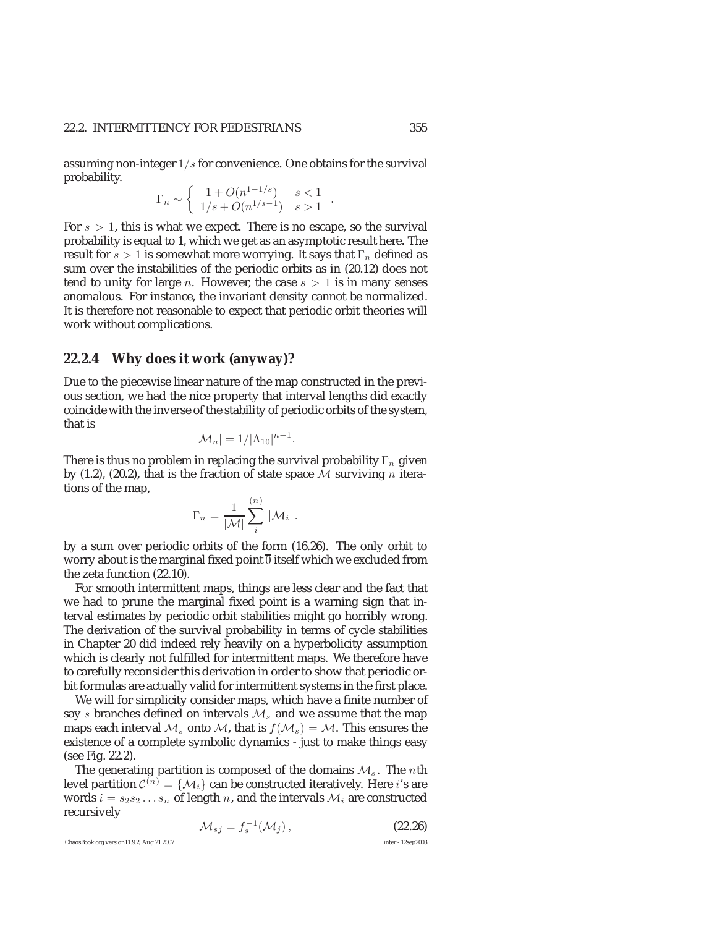assuming non-integer  $1/s$  for convenience. One obtains for the survival probability.

$$
\Gamma_n \sim \begin{cases} 1 + O(n^{1-1/s}) & s < 1 \\ 1/s + O(n^{1/s-1}) & s > 1 \end{cases}.
$$

For  $s > 1$ , this is what we expect. There is no escape, so the survival probability is equal to 1, which we get as an asymptotic result here. The result for  $s > 1$  is somewhat more worrying. It says that  $\Gamma_n$  defined as sum over the instabilities of the periodic orbits as in (20.12) does not tend to unity for large *n*. However, the case  $s > 1$  is in many senses anomalous. For instance, the invariant density cannot be normalized. It is therefore not reasonable to expect that periodic orbit theories will work without complications.

#### **22.2.4 Why does it work (anyway)?**

Due to the piecewise linear nature of the map constructed in the previous section, we had the nice property that interval lengths did exactly coincide with the inverse of the stability of periodic orbits of the system, that is

$$
|\mathcal{M}_n|=1/|\Lambda_{10}|^{n-1}.
$$

There is thus no problem in replacing the survival probability  $\Gamma_n$  given by (1.2), (20.2), that is the fraction of state space  $M$  surviving n iterations of the map,

$$
\Gamma_n = \frac{1}{|\mathcal{M}|} \sum_i^{(n)} |\mathcal{M}_i|.
$$

by a sum over periodic orbits of the form (16.26). The only orbit to worry about is the marginal fixed point  $\overline{0}$  itself which we excluded from the zeta function (22.10).

For smooth intermittent maps, things are less clear and the fact that we had to prune the marginal fixed point is a warning sign that interval estimates by periodic orbit stabilities might go horribly wrong. The derivation of the survival probability in terms of cycle stabilities in Chapter 20 did indeed rely heavily on a hyperbolicity assumption which is clearly not fulfilled for intermittent maps. We therefore have to carefully reconsider this derivation in order to show that periodic orbit formulas are actually valid for intermittent systems in the first place.

We will for simplicity consider maps, which have a finite number of say s branches defined on intervals  $\mathcal{M}_s$  and we assume that the map maps each interval  $\mathcal{M}_s$  onto  $\mathcal{M}_s$ , that is  $f(\mathcal{M}_s) = \mathcal{M}$ . This ensures the existence of a complete symbolic dynamics - just to make things easy (see Fig. 22.2).

The generating partition is composed of the domains  $\mathcal{M}_s$ . The nth level partition  $C^{(n)} = \{M_i\}$  can be constructed iteratively. Here *i*'s are words  $i = s_2 s_2 \dots s_n$  of length n, and the intervals  $\mathcal{M}_i$  are constructed recursively

$$
\mathcal{M}_{sj} = f_s^{-1}(\mathcal{M}_j), \qquad (22.26)
$$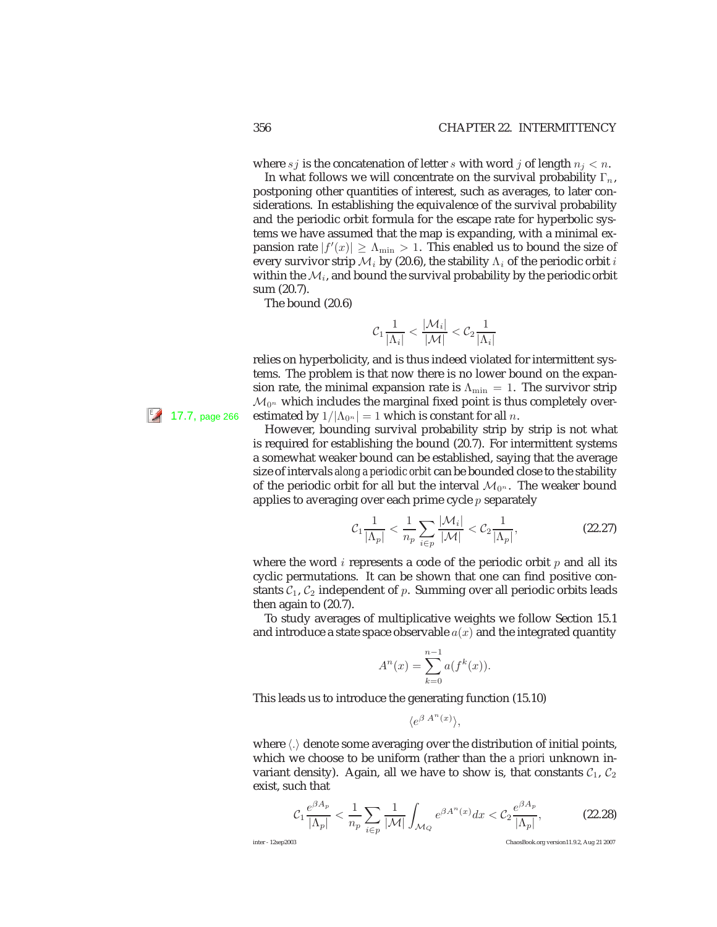where  $s_j$  is the concatenation of letter s with word j of length  $n_j < n$ .

In what follows we will concentrate on the survival probability  $\Gamma_n$ , postponing other quantities of interest, such as averages, to later considerations. In establishing the equivalence of the survival probability and the periodic orbit formula for the escape rate for hyperbolic systems we have assumed that the map is expanding, with a minimal expansion rate  $|f'(x)| \geq \Lambda_{\min} > 1$ . This enabled us to bound the size of every survivor strip  $\mathcal{M}_i$  by (20.6), the stability  $\Lambda_i$  of the periodic orbit i within the  $M_i$ , and bound the survival probability by the periodic orbit sum (20.7).

The bound (20.6)

$$
\mathcal{C}_1 \frac{1}{|\Lambda_i|} < \frac{|\mathcal{M}_i|}{|\mathcal{M}|} < \mathcal{C}_2 \frac{1}{|\Lambda_i|}
$$

relies on hyperbolicity, and is thus indeed violated for intermittent systems. The problem is that now there is no lower bound on the expansion rate, the minimal expansion rate is  $\Lambda_{\text{min}} = 1$ . The survivor strip  $\mathcal{M}_{0^n}$  which includes the marginal fixed point is thus completely over-**17.7, page 266** estimated by  $1/|\Lambda_{0^n}| = 1$  which is constant for all n.

> However, bounding survival probability strip by strip is not what is required for establishing the bound (20.7). For intermittent systems a somewhat weaker bound can be established, saying that the average size of intervals *along a periodic orbit* can be bounded close to the stability of the periodic orbit for all but the interval  $\mathcal{M}_{0^n}$ . The weaker bound applies to averaging over each prime cycle  $p$  separately

$$
\mathcal{C}_1 \frac{1}{|\Lambda_p|} < \frac{1}{n_p} \sum_{i \in p} \frac{|\mathcal{M}_i|}{|\mathcal{M}|} < \mathcal{C}_2 \frac{1}{|\Lambda_p|},\tag{22.27}
$$

where the word *i* represents a code of the periodic orbit  $p$  and all its cyclic permutations. It can be shown that one can find positive constants  $C_1$ ,  $C_2$  independent of p. Summing over all periodic orbits leads then again to (20.7).

To study averages of multiplicative weights we follow Section 15.1 and introduce a state space observable  $a(x)$  and the integrated quantity

$$
A^{n}(x) = \sum_{k=0}^{n-1} a(f^{k}(x)).
$$

This leads us to introduce the generating function (15.10)

$$
\langle e^{\beta A^n(x)} \rangle,
$$

where  $\langle \cdot \rangle$  denote some averaging over the distribution of initial points, which we choose to be uniform (rather than the *a priori* unknown invariant density). Again, all we have to show is, that constants  $C_1$ ,  $C_2$ exist, such that

$$
\mathcal{C}_1 \frac{e^{\beta A_p}}{|\Lambda_p|} < \frac{1}{n_p} \sum_{i \in p} \frac{1}{|\mathcal{M}|} \int_{\mathcal{M}_Q} e^{\beta A^n(x)} dx < \mathcal{C}_2 \frac{e^{\beta A_p}}{|\Lambda_p|},\tag{22.28}
$$

inter - 12sep2003 ChaosBook.org version11.9.2, Aug 21 2007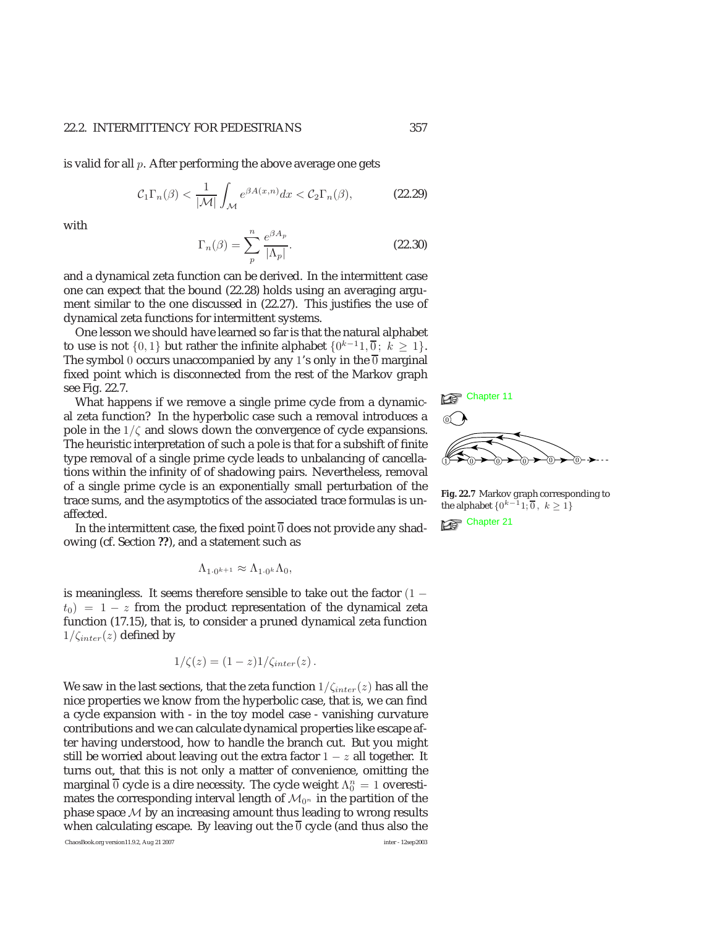is valid for all  $p$ . After performing the above average one gets

$$
\mathcal{C}_1 \Gamma_n(\beta) < \frac{1}{|\mathcal{M}|} \int_{\mathcal{M}} e^{\beta A(x,n)} dx < \mathcal{C}_2 \Gamma_n(\beta), \tag{22.29}
$$

with

$$
\Gamma_n(\beta) = \sum_{p}^{n} \frac{e^{\beta A_p}}{|\Lambda_p|}.
$$
\n(22.30)

and a dynamical zeta function can be derived. In the intermittent case one can expect that the bound (22.28) holds using an averaging argument similar to the one discussed in (22.27). This justifies the use of dynamical zeta functions for intermittent systems.

One lesson we should have learned so far is that the natural alphabet to use is not  $\{0, 1\}$  but rather the infinite alphabet  $\{0^{k-1}1, 0 \}$ ;  $k \ge 1\}$ . The symbol 0 occurs unaccompanied by any 1's only in the  $\overline{0}$  marginal fixed point which is disconnected from the rest of the Markov graph

see Fig. 22.7.<br>What happens if we remove a single prime cycle from a dynamical zeta function? In the hyperbolic case such a removal introduces a pole in the  $1/\zeta$  and slows down the convergence of cycle expansions. The heuristic interpretation of such a pole is that for a subshift of finite type removal of a single prime cycle leads to unbalancing of cancellations within the infinity of of shadowing pairs. Nevertheless, removal of a single prime cycle is an exponentially small perturbation of the trace sums, and the asymptotics of the associated trace formulas is un-

In the intermittent case, the fixed point  $\overline{0}$  does not provide any shadowing (cf. Section **??**), and a statement such as

$$
\Lambda_{1\cdot 0^{k+1}} \approx \Lambda_{1\cdot 0^k}\Lambda_0,
$$

is meaningless. It seems therefore sensible to take out the factor  $(1$  $t_0$ ) = 1 – *z* from the product representation of the dynamical zeta function (17.15), that is, to consider a pruned dynamical zeta function  $1/\zeta_{inter}(z)$  defined by

$$
1/\zeta(z) = (1-z)1/\zeta_{inter}(z).
$$

We saw in the last sections, that the zeta function  $1/\zeta_{inter}(z)$  has all the nice properties we know from the hyperbolic case, that is, we can find a cycle expansion with - in the toy model case - vanishing curvature contributions and we can calculate dynamical properties like escape after having understood, how to handle the branch cut. But you might still be worried about leaving out the extra factor  $1 - z$  all together. It turns out, that this is not only a matter of convenience, omitting the marginal  $\overline{0}$  cycle is a dire necessity. The cycle weight  $\Lambda_0^n = 1$  overestimates the corresponding interval length of  $\mathcal{M}_{0^n}$  in the partition of the phase space  $M$  by an increasing amount thus leading to wrong results when calculating escape. By leaving out the  $\overline{0}$  cycle (and thus also the

ChaosBook.org version11.9.2, Aug 21 2007 inter - 12sep2003



**Fig. 22.7** Markov graph corresponding to the alphabet  $\{0^{k-1}1, \overline{0}, k \ge 1\}$ <br>Chapter 21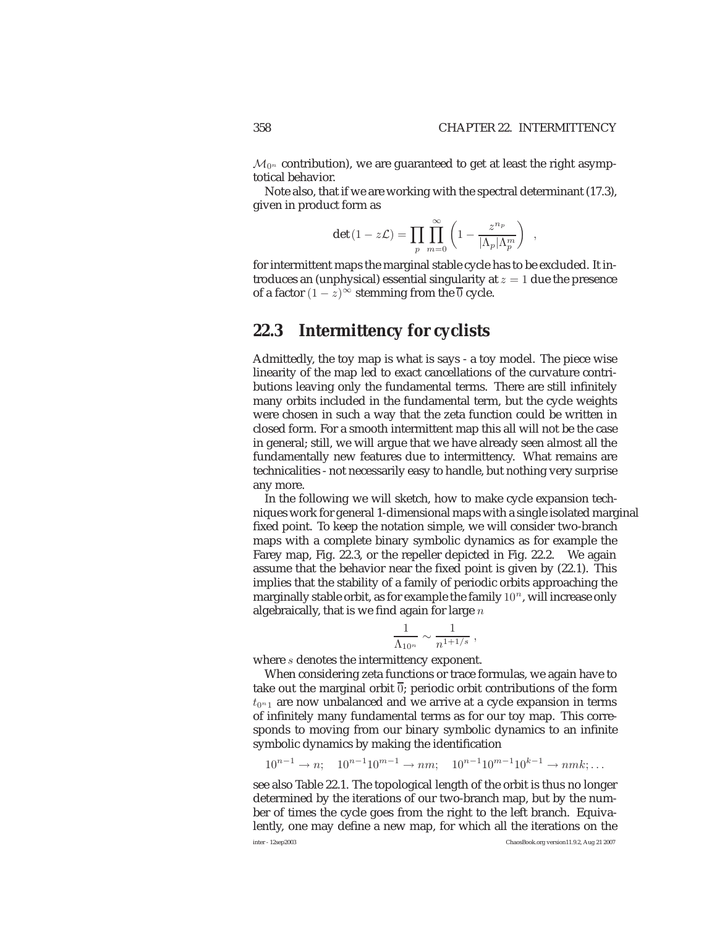$\mathcal{M}_{0^n}$  contribution), we are guaranteed to get at least the right asymptotical behavior.

Note also, that if we are working with the spectral determinant (17.3), given in product form as

$$
\det(1 - z\mathcal{L}) = \prod_{p} \prod_{m=0}^{\infty} \left(1 - \frac{z^{n_p}}{|\Lambda_p| \Lambda_p^m}\right) ,
$$

for intermittent maps the marginal stable cycle has to be excluded. It introduces an (unphysical) essential singularity at  $z = 1$  due the presence of a factor  $(1 - z)^{\infty}$  stemming from the  $\overline{0}$  cycle.

# **22.3 Intermittency for cyclists**

Admittedly, the toy map is what is says - a toy model. The piece wise linearity of the map led to exact cancellations of the curvature contributions leaving only the fundamental terms. There are still infinitely many orbits included in the fundamental term, but the cycle weights were chosen in such a way that the zeta function could be written in closed form. For a smooth intermittent map this all will not be the case in general; still, we will argue that we have already seen almost all the fundamentally new features due to intermittency. What remains are technicalities - not necessarily easy to handle, but nothing very surprise any more.

In the following we will sketch, how to make cycle expansion techniques work for general 1-dimensional maps with a single isolated marginal fixed point. To keep the notation simple, we will consider two-branch maps with a complete binary symbolic dynamics as for example the Farey map, Fig. 22.3, or the repeller depicted in Fig. 22.2. We again assume that the behavior near the fixed point is given by (22.1). This implies that the stability of a family of periodic orbits approaching the marginally stable orbit, as for example the family  $10<sup>n</sup>$ , will increase only algebraically, that is we find again for large  $n$ 

$$
\frac{1}{\Lambda_{10^n}}\sim \frac{1}{n^{1+1/s}}\;,
$$

where *s* denotes the intermittency exponent.

When considering zeta functions or trace formulas, we again have to take out the marginal orbit  $\overline{0}$ ; periodic orbit contributions of the form  $t_{0n1}$  are now unbalanced and we arrive at a cycle expansion in terms of infinitely many fundamental terms as for our toy map. This corresponds to moving from our binary symbolic dynamics to an infinite symbolic dynamics by making the identification

 $10^{n-1} \rightarrow n$ ;  $10^{n-1}10^{m-1} \rightarrow nm$ ;  $10^{n-1}10^{m-1}10^{k-1} \rightarrow nmk$ ; ...

see also Table 22.1. The topological length of the orbit is thus no longer determined by the iterations of our two-branch map, but by the number of times the cycle goes from the right to the left branch. Equivalently, one may define a new map, for which all the iterations on the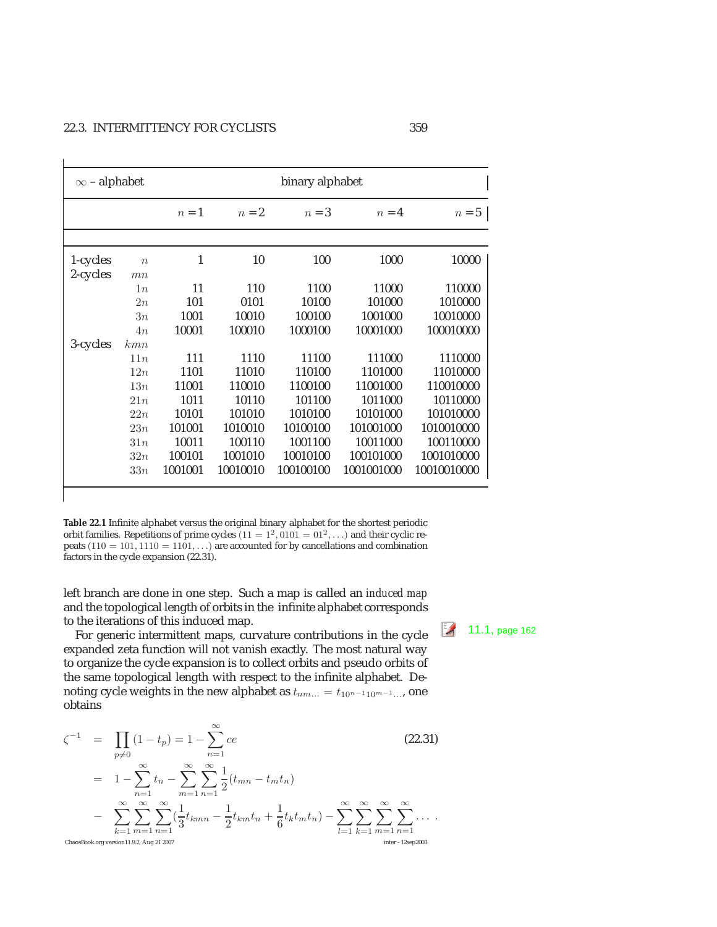| $\infty$ – alphabet |                  | binary alphabet |          |           |            |             |
|---------------------|------------------|-----------------|----------|-----------|------------|-------------|
|                     |                  | $n=1$           | $n=2$    | $n=3$     | $n=4$      | $n=5$       |
|                     |                  |                 |          |           |            |             |
| 1-cycles            | $\boldsymbol{n}$ | 1               | 10       | 100       | 1000       | 10000       |
| 2-cycles            | mn               |                 |          |           |            |             |
|                     | 1n               | 11              | 110      | 1100      | 11000      | 110000      |
|                     | 2n               | 101             | 0101     | 10100     | 101000     | 1010000     |
|                     | 3n               | 1001            | 10010    | 100100    | 1001000    | 10010000    |
|                     | 4n               | 10001           | 100010   | 1000100   | 10001000   | 100010000   |
| 3-cycles            | kmn              |                 |          |           |            |             |
|                     | 11n              | 111             | 1110     | 11100     | 111000     | 1110000     |
|                     | 12n              | 1101            | 11010    | 110100    | 1101000    | 11010000    |
|                     | 13n              | 11001           | 110010   | 1100100   | 11001000   | 110010000   |
|                     | 21n              | 1011            | 10110    | 101100    | 1011000    | 10110000    |
|                     | 22n              | 10101           | 101010   | 1010100   | 10101000   | 101010000   |
|                     | 23n              | 101001          | 1010010  | 10100100  | 101001000  | 1010010000  |
|                     | 31n              | 10011           | 100110   | 1001100   | 10011000   | 100110000   |
|                     | 32n              | 100101          | 1001010  | 10010100  | 100101000  | 1001010000  |
|                     | 33n              | 1001001         | 10010010 | 100100100 | 1001001000 | 10010010000 |

**Table 22.1** Infinite alphabet versus the original binary alphabet for the shortest periodic orbit families. Repetitions of prime cycles  $(11 = 1^2, 0101 = 01^2, ...)$  and their cyclic repeats  $(110 = 101, 1110 = 1101, ...)$  are accounted for by cancellations and combination factors in the cycle expansion (22.31).

left branch are done in one step. Such a map is called an *induced map* and the topological length of orbits in the infinite alphabet corresponds

the iterations of this induced map.<br>For generic intermittent maps, curvature contributions in the cycle  $\frac{2}{\sqrt{3}}$  11.1, page 162 expanded zeta function will not vanish exactly. The most natural way to organize the cycle expansion is to collect orbits and pseudo orbits of the same topological length with respect to the infinite alphabet. Denoting cycle weights in the new alphabet as  $t_{nm...} = t_{10^{n-1}10^{m-1}...}$ , one obtains

$$
\zeta^{-1} = \prod_{p \neq 0} (1 - t_p) = 1 - \sum_{n=1}^{\infty} ce
$$
\n
$$
= 1 - \sum_{n=1}^{\infty} t_n - \sum_{m=1}^{\infty} \sum_{n=1}^{\infty} \frac{1}{2} (t_{mn} - t_m t_n)
$$
\n
$$
- \sum_{k=1}^{\infty} \sum_{m=1}^{\infty} \sum_{n=1}^{\infty} (\frac{1}{3} t_{kmn} - \frac{1}{2} t_{km} t_n + \frac{1}{6} t_k t_m t_n) - \sum_{l=1}^{\infty} \sum_{k=1}^{\infty} \sum_{m=1}^{\infty} \sum_{n=1}^{\infty} \cdots
$$
\nChassBook.org version11.9.2, Aug 21 2007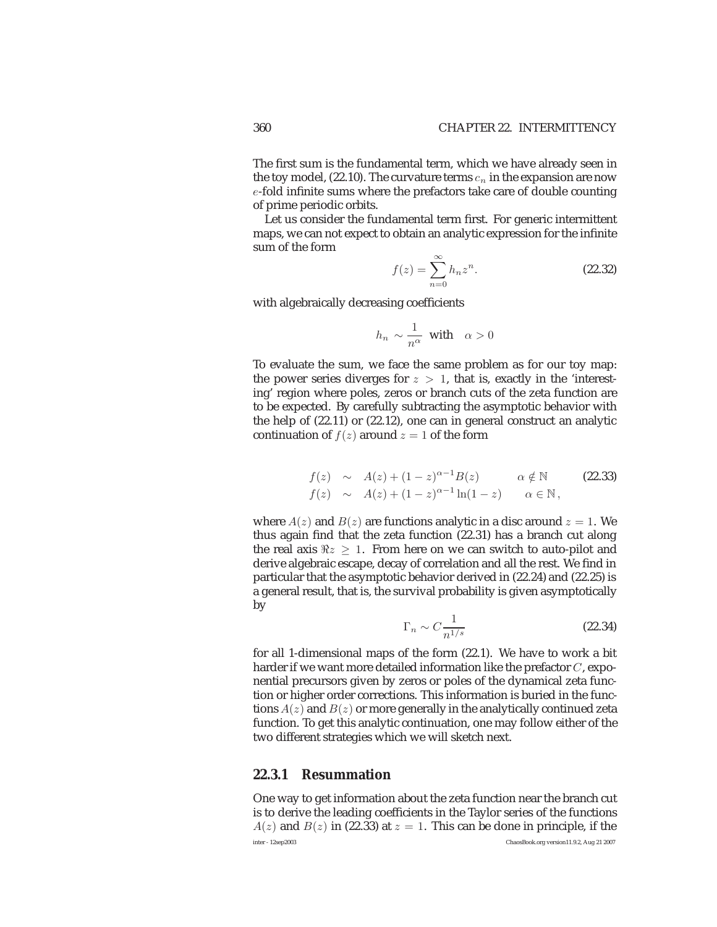The first sum is the fundamental term, which we have already seen in the toy model, (22.10). The curvature terms  $c_n$  in the expansion are now e-fold infinite sums where the prefactors take care of double counting of prime periodic orbits.

Let us consider the fundamental term first. For generic intermittent maps, we can not expect to obtain an analytic expression for the infinite sum of the form

$$
f(z) = \sum_{n=0}^{\infty} h_n z^n.
$$
 (22.32)

with algebraically decreasing coefficients

$$
h_n \sim \frac{1}{n^{\alpha}} \text{ with } \alpha > 0
$$

To evaluate the sum, we face the same problem as for our toy map: the power series diverges for  $z > 1$ , that is, exactly in the 'interesting' region where poles, zeros or branch cuts of the zeta function are to be expected. By carefully subtracting the asymptotic behavior with the help of (22.11) or (22.12), one can in general construct an analytic continuation of  $f(z)$  around  $z = 1$  of the form

$$
f(z) \sim A(z) + (1-z)^{\alpha-1} B(z) \qquad \alpha \notin \mathbb{N}
$$
 (22.33)  

$$
f(z) \sim A(z) + (1-z)^{\alpha-1} \ln(1-z) \qquad \alpha \in \mathbb{N},
$$

where  $A(z)$  and  $B(z)$  are functions analytic in a disc around  $z = 1$ . We thus again find that the zeta function (22.31) has a branch cut along the real axis  $\Re z > 1$ . From here on we can switch to auto-pilot and derive algebraic escape, decay of correlation and all the rest. We find in particular that the asymptotic behavior derived in (22.24) and (22.25) is a general result, that is, the survival probability is given asymptotically by

$$
\Gamma_n \sim C \frac{1}{n^{1/s}} \tag{22.34}
$$

for all 1-dimensional maps of the form (22.1). We have to work a bit harder if we want more detailed information like the prefactor  $C$ , exponential precursors given by zeros or poles of the dynamical zeta function or higher order corrections. This information is buried in the functions  $A(z)$  and  $B(z)$  or more generally in the analytically continued zeta function. To get this analytic continuation, one may follow either of the two different strategies which we will sketch next.

# **22.3.1 Resummation**

One way to get information about the zeta function near the branch cut is to derive the leading coefficients in the Taylor series of the functions  $A(z)$  and  $B(z)$  in (22.33) at  $z = 1$ . This can be done in principle, if the inter - 12sep2003 ChaosBook.org version11.9.2, Aug 21 2007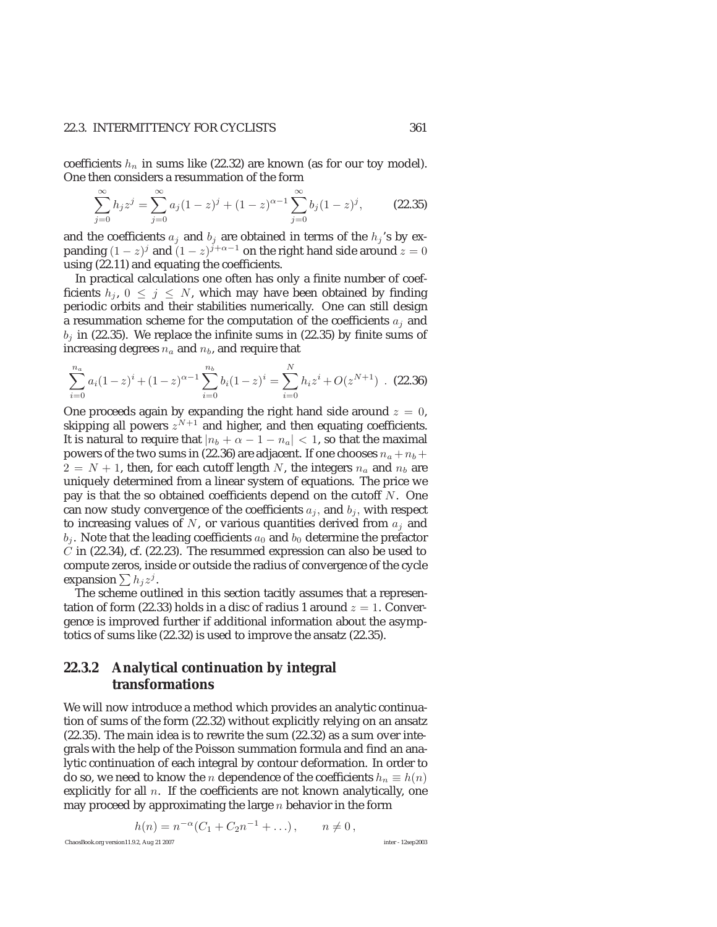### 22.3. INTERMITTENCY FOR CYCLISTS 361

coefficients  $h_n$  in sums like (22.32) are known (as for our toy model). One then considers a resummation of the form

$$
\sum_{j=0}^{\infty} h_j z^j = \sum_{j=0}^{\infty} a_j (1-z)^j + (1-z)^{\alpha-1} \sum_{j=0}^{\infty} b_j (1-z)^j,
$$
 (22.35)

and the coefficients  $a_j$  and  $b_j$  are obtained in terms of the  $h_j$ 's by expanding  $(1 - z)^j$  and  $(1 - z)^{j + \alpha - 1}$  on the right hand side around  $z = 0$ using (22.11) and equating the coefficients.

In practical calculations one often has only a finite number of coefficients  $h_i$ ,  $0 \leq j \leq N$ , which may have been obtained by finding periodic orbits and their stabilities numerically. One can still design a resummation scheme for the computation of the coefficients  $a_i$  and  $b_i$  in (22.35). We replace the infinite sums in (22.35) by finite sums of increasing degrees  $n_a$  and  $n_b$ , and require that

$$
\sum_{i=0}^{n_a} a_i (1-z)^i + (1-z)^{\alpha-1} \sum_{i=0}^{n_b} b_i (1-z)^i = \sum_{i=0}^{N} h_i z^i + O(z^{N+1})
$$
 (22.36)

One proceeds again by expanding the right hand side around  $z = 0$ , skipping all powers  $z^{N+1}$  and higher, and then equating coefficients. It is natural to require that  $|n_b + \alpha - 1 - n_a| < 1$ , so that the maximal powers of the two sums in (22.36) are adjacent. If one chooses  $n_a + n_b +$  $2 = N + 1$ , then, for each cutoff length N, the integers  $n_a$  and  $n_b$  are uniquely determined from a linear system of equations. The price we pay is that the so obtained coefficients depend on the cutoff  $N$ . One can now study convergence of the coefficients  $a_i$ , and  $b_i$ , with respect to increasing values of  $N$ , or various quantities derived from  $a_i$  and  $b_j$ . Note that the leading coefficients  $a_0$  and  $b_0$  determine the prefactor  $C$  in (22.34), cf. (22.23). The resummed expression can also be used to compute zeros, inside or outside the radius of convergence of the cycle expansion  $\sum h_j z^j$ .

The scheme outlined in this section tacitly assumes that a representation of form (22.33) holds in a disc of radius 1 around  $z = 1$ . Convergence is improved further if additional information about the asymptotics of sums like (22.32) is used to improve the ansatz (22.35).

# **22.3.2 Analytical continuation by integral transformations**

We will now introduce a method which provides an analytic continuation of sums of the form (22.32) without explicitly relying on an ansatz (22.35). The main idea is to rewrite the sum (22.32) as a sum over integrals with the help of the Poisson summation formula and find an analytic continuation of each integral by contour deformation. In order to do so, we need to know the *n* dependence of the coefficients  $h_n \equiv h(n)$ explicitly for all  $n$ . If the coefficients are not known analytically, one may proceed by approximating the large  $n$  behavior in the form

$$
h(n) = n^{-\alpha} (C_1 + C_2 n^{-1} + \dots), \qquad n \neq 0,
$$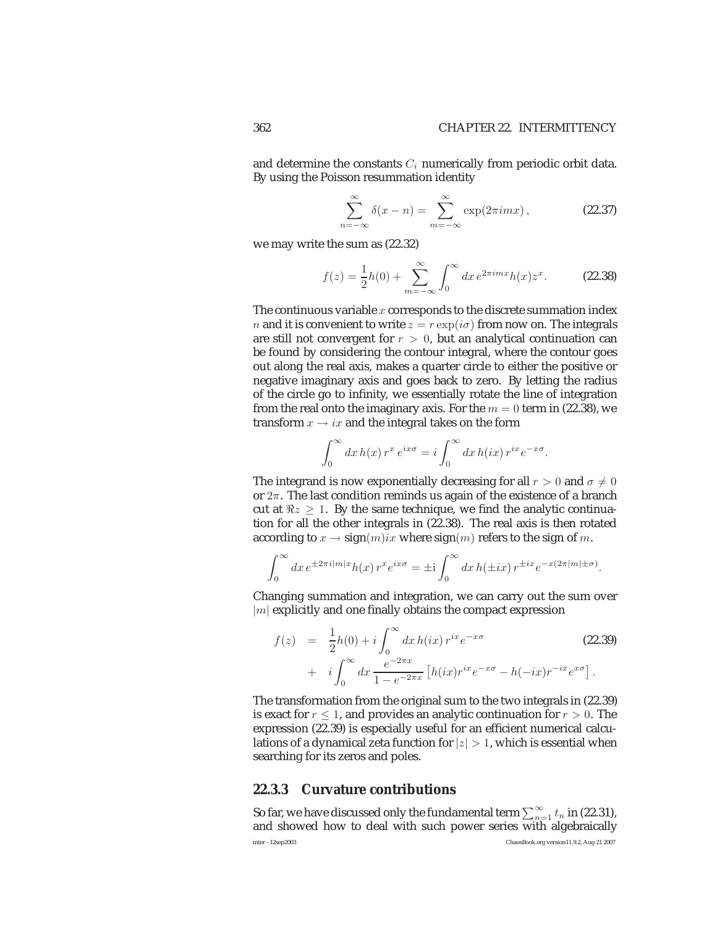and determine the constants  $C_i$  numerically from periodic orbit data. By using the Poisson resummation identity

$$
\sum_{n=-\infty}^{\infty} \delta(x - n) = \sum_{m=-\infty}^{\infty} \exp(2\pi i m x),
$$
 (22.37)

we may write the sum as (22.32)

$$
f(z) = \frac{1}{2}h(0) + \sum_{m = -\infty}^{\infty} \int_0^{\infty} dx \, e^{2\pi i m x} h(x) z^x.
$$
 (22.38)

The continuous variable  $x$  corresponds to the discrete summation index *n* and it is convenient to write  $z = r \exp(i\sigma)$  from now on. The integrals are still not convergent for  $r > 0$ , but an analytical continuation can be found by considering the contour integral, where the contour goes out along the real axis, makes a quarter circle to either the positive or negative imaginary axis and goes back to zero. By letting the radius of the circle go to infinity, we essentially rotate the line of integration from the real onto the imaginary axis. For the  $m = 0$  term in (22.38), we transform  $x \rightarrow ix$  and the integral takes on the form

$$
\int_0^\infty dx \, h(x) \, r^x \, e^{ix\sigma} = i \int_0^\infty dx \, h(ix) \, r^{ix} e^{-x\sigma}.
$$

The integrand is now exponentially decreasing for all  $r > 0$  and  $\sigma \neq 0$ or 2π. The last condition reminds us again of the existence of a branch cut at  $\Re z > 1$ . By the same technique, we find the analytic continuation for all the other integrals in (22.38). The real axis is then rotated according to  $x \to sign(m)ix$  where  $sign(m)$  refers to the sign of m.

$$
\int_0^\infty dx \, e^{\pm 2\pi i |m|x} h(x) \, r^x e^{ix\sigma} = \pm i \int_0^\infty dx \, h(\pm ix) \, r^{\pm ix} e^{-x(2\pi |m|\pm \sigma)}.
$$

Changing summation and integration, we can carry out the sum over  $|m|$  explicitly and one finally obtains the compact expression

$$
f(z) = \frac{1}{2}h(0) + i \int_0^{\infty} dx \, h(ix) \, r^{ix} e^{-x\sigma}
$$
 (22.39)  
+ 
$$
i \int_0^{\infty} dx \, \frac{e^{-2\pi x}}{1 - e^{-2\pi x}} \left[ h(ix) r^{ix} e^{-x\sigma} - h(-ix) r^{-ix} e^{x\sigma} \right].
$$

The transformation from the original sum to the two integrals in (22.39) is exact for  $r \leq 1$ , and provides an analytic continuation for  $r > 0$ . The expression (22.39) is especially useful for an efficient numerical calculations of a dynamical zeta function for  $|z| > 1$ , which is essential when searching for its zeros and poles.

### **22.3.3 Curvature contributions**

So far, we have discussed only the fundamental term  $\sum_{n=1}^{\infty}t_{n}$  in (22.31), and showed how to deal with such power series with algebraically inter - 12sep2003 ChaosBook.org version11.9.2, Aug 21 2007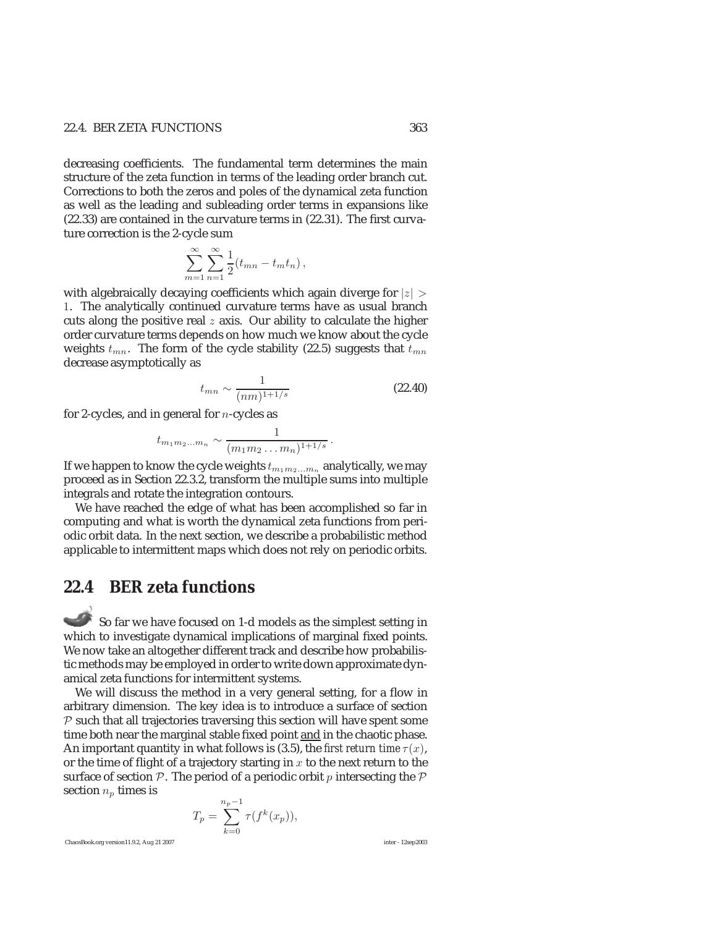## 22.4. BER ZETA FUNCTIONS 363

decreasing coefficients. The fundamental term determines the main structure of the zeta function in terms of the leading order branch cut. Corrections to both the zeros and poles of the dynamical zeta function as well as the leading and subleading order terms in expansions like (22.33) are contained in the curvature terms in (22.31). The first curvature correction is the 2-cycle sum

$$
\sum_{m=1}^{\infty}\sum_{n=1}^{\infty}\frac{1}{2}(t_{mn}-t_mt_n),
$$

with algebraically decaying coefficients which again diverge for  $|z| >$ 1. The analytically continued curvature terms have as usual branch cuts along the positive real  $z$  axis. Our ability to calculate the higher order curvature terms depends on how much we know about the cycle weights  $t_{mn}$ . The form of the cycle stability (22.5) suggests that  $t_{mn}$ decrease asymptotically as

$$
t_{mn} \sim \frac{1}{(nm)^{1+1/s}}
$$
 (22.40)

for 2-cycles, and in general for  $n$ -cycles as

$$
t_{m_1m_2...m_n} \sim \frac{1}{(m_1m_2...m_n)^{1+1/s}}.
$$

If we happen to know the cycle weights  $t_{m_1m_2...m_n}$  analytically, we may proceed as in Section 22.3.2, transform the multiple sums into multiple integrals and rotate the integration contours.

We have reached the edge of what has been accomplished so far in computing and what is worth the dynamical zeta functions from periodic orbit data. In the next section, we describe a probabilistic method applicable to intermittent maps which does not rely on periodic orbits.

# **22.4 BER zeta functions**

So far we have focused on 1-d models as the simplest setting in which to investigate dynamical implications of marginal fixed points. We now take an altogether different track and describe how probabilistic methods may be employed in order to write down approximate dynamical zeta functions for intermittent systems.

We will discuss the method in a very general setting, for a flow in arbitrary dimension. The key idea is to introduce a surface of section  $P$  such that all trajectories traversing this section will have spent some time both near the marginal stable fixed point and in the chaotic phase. An important quantity in what follows is (3.5), the *first return time*  $\tau(x)$ , or the time of flight of a trajectory starting in  $x$  to the next return to the surface of section  $P$ . The period of a periodic orbit p intersecting the  $P$ section  $n_p$  times is

$$
T_p = \sum_{k=0}^{n_p - 1} \tau(f^k(x_p)),
$$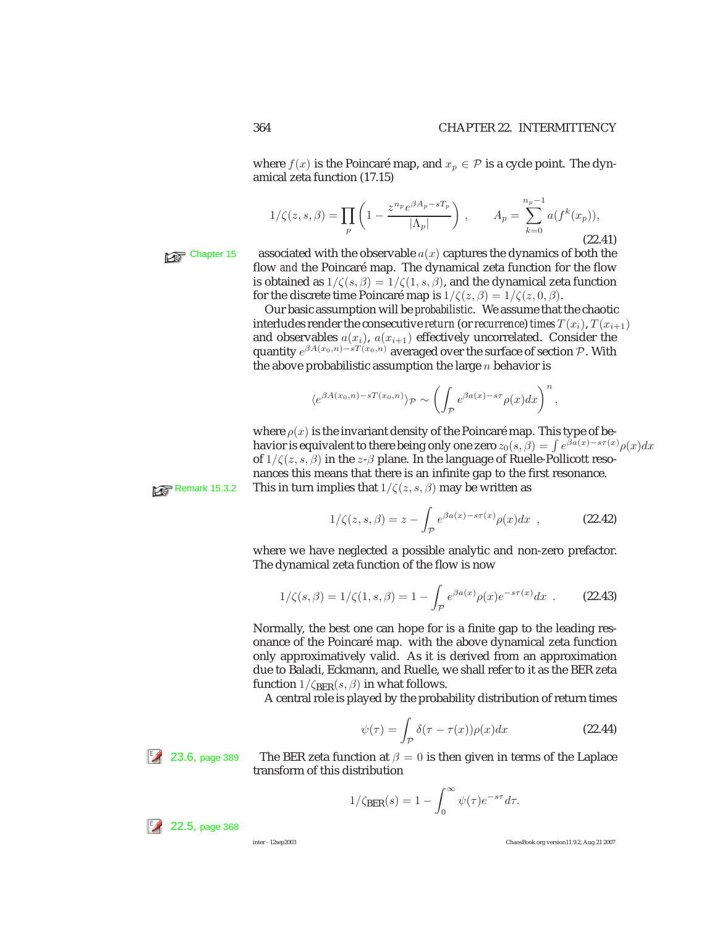where  $f(x)$  is the Poincaré map, and  $x_p \in \mathcal{P}$  is a cycle point. The dynamical zeta function (17.15)

$$
1/\zeta(z,s,\beta) = \prod_{p} \left( 1 - \frac{z^{n_p} e^{\beta A_p - sT_p}}{|\Lambda_p|} \right), \qquad A_p = \sum_{k=0}^{n_p - 1} a(f^k(x_p)),
$$
\n(22.41)

Chapter 15 associated with the observable  $a(x)$  captures the dynamics of both the flow *and* the Poincaré map. The dynamical zeta function for the flow is obtained as  $1/\zeta(s,\beta)=1/\zeta(1,s,\beta)$ , and the dynamical zeta function for the discrete time Poincaré map is  $1/\zeta(z, \beta)=1/\zeta(z, 0, \beta)$ .

> Our basic assumption will be *probabilistic*. We assume that the chaotic interludes render the consecutive *return* (or *recurrence*) *times*  $T(x_i)$ ,  $T(x_{i+1})$ and observables  $a(x_i)$ ,  $a(x_{i+1})$  effectively uncorrelated. Consider the quantity  $e^{\beta A(x_0,n)-sT(x_0,n)}$  averaged over the surface of section  $\mathcal{P}$ . With the above probabilistic assumption the large  $n$  behavior is

$$
\langle e^{\beta A(x_0,n)-sT(x_0,n)}\rangle_{\mathcal{P}}\sim \left(\int_{\mathcal{P}}e^{\beta a(x)-s\tau}\rho(x)dx\right)^n,
$$

where  $\rho(x)$  is the invariant density of the Poincaré map. This type of behavior is equivalent to there being only one zero  $z_0(s, \hat\beta) = \int e^{\hat\beta \hat a(x) -s\tau(x)} \rho(x) dx$ of  $1/\zeta(z, s, \beta)$  in the  $z \text{-} \beta$  plane. In the language of Ruelle-Pollicott resonances this means that there is an infinite gap to the first resonance. **Remark 15.3.2** This in turn implies that  $1/\zeta(z, s, \beta)$  may be written as

$$
1/\zeta(z,s,\beta) = z - \int_{\mathcal{P}} e^{\beta a(x) - s\tau(x)} \rho(x) dx , \qquad (22.42)
$$

where we have neglected a possible analytic and non-zero prefactor. The dynamical zeta function of the flow is now

$$
1/\zeta(s,\beta) = 1/\zeta(1,s,\beta) = 1 - \int_{\mathcal{P}} e^{\beta a(x)} \rho(x) e^{-s\tau(x)} dx
$$
 (22.43)

Normally, the best one can hope for is a finite gap to the leading resonance of the Poincaré map. with the above dynamical zeta function only approximatively valid. As it is derived from an approximation due to Baladi, Eckmann, and Ruelle, we shall refer to it as the BER zeta function  $1/\zeta_{\text{BFR}}(s,\beta)$  in what follows.

A central role is played by the probability distribution of return times

$$
\psi(\tau) = \int_{\mathcal{P}} \delta(\tau - \tau(x)) \rho(x) dx \tag{22.44}
$$

 $22.5$ , page 368

<sup> $\mathbb{Z}$ </sup> 23.6, page 389 The BER zeta function at  $\beta = 0$  is then given in terms of the Laplace transform of this distribution

$$
1/\zeta_{\text{BER}}(s) = 1 - \int_0^\infty \psi(\tau) e^{-s\tau} d\tau.
$$

inter - 12sep2003 ChaosBook.org version11.9.2, Aug 21 2007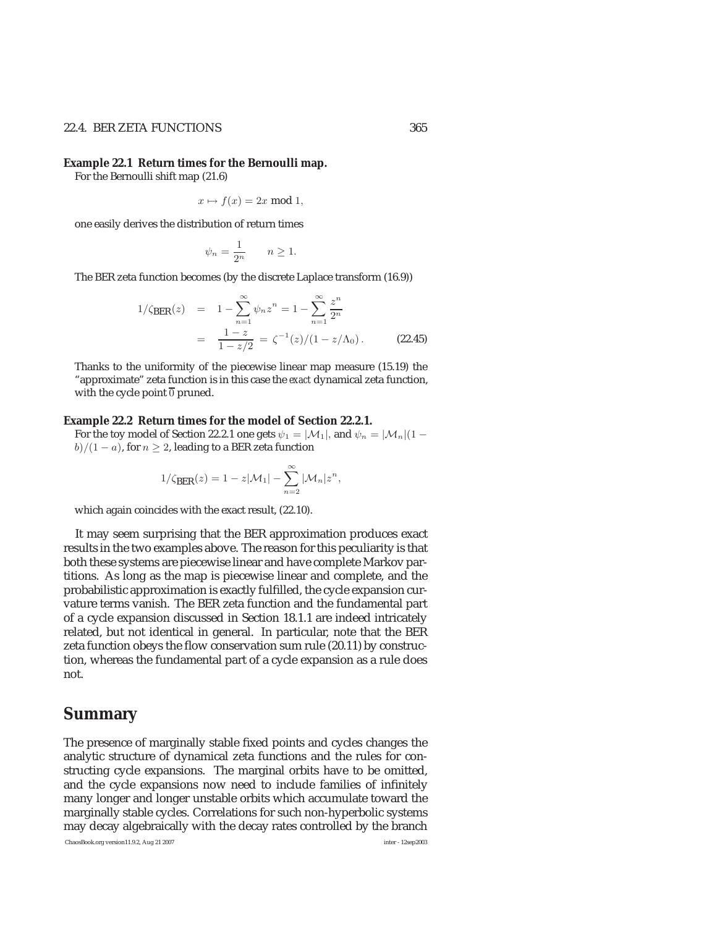### 22.4. BER ZETA FUNCTIONS 365

#### **Example 22.1 Return times for the Bernoulli map.**

For the Bernoulli shift map (21.6)

$$
x \mapsto f(x) = 2x \bmod 1,
$$

one easily derives the distribution of return times

$$
\psi_n = \frac{1}{2^n} \qquad n \ge 1.
$$

The BER zeta function becomes (by the discrete Laplace transform (16.9))

$$
1/\zeta_{\text{BER}}(z) = 1 - \sum_{n=1}^{\infty} \psi_n z^n = 1 - \sum_{n=1}^{\infty} \frac{z^n}{2^n}
$$
  
= 
$$
\frac{1-z}{1-z/2} = \zeta^{-1}(z)/(1-z/\Lambda_0).
$$
 (22.45)

Thanks to the uniformity of the piecewise linear map measure (15.19) the "approximate" zeta function is in this case the *exact* dynamical zeta function, with the cycle point  $\overline{0}$  pruned.

#### **Example 22.2 Return times for the model of Section 22.2.1.**

For the toy model of Section 22.2.1 one gets  $\psi_1 = |M_1|$ , and  $\psi_n = |M_n|(1$  $b)/(1-a)$ , for  $n \geq 2$ , leading to a BER zeta function

$$
1/\zeta_{\text{BER}}(z) = 1 - z|\mathcal{M}_1| - \sum_{n=2}^{\infty} |\mathcal{M}_n| z^n,
$$

which again coincides with the exact result, (22.10).

It may seem surprising that the BER approximation produces exact results in the two examples above. The reason for this peculiarity is that both these systems are piecewise linear and have complete Markov partitions. As long as the map is piecewise linear and complete, and the probabilistic approximation is exactly fulfilled, the cycle expansion curvature terms vanish. The BER zeta function and the fundamental part of a cycle expansion discussed in Section 18.1.1 are indeed intricately related, but not identical in general. In particular, note that the BER zeta function obeys the flow conservation sum rule (20.11) by construction, whereas the fundamental part of a cycle expansion as a rule does not.

# **Summary**

The presence of marginally stable fixed points and cycles changes the analytic structure of dynamical zeta functions and the rules for constructing cycle expansions. The marginal orbits have to be omitted, and the cycle expansions now need to include families of infinitely many longer and longer unstable orbits which accumulate toward the marginally stable cycles. Correlations for such non-hyperbolic systems may decay algebraically with the decay rates controlled by the branch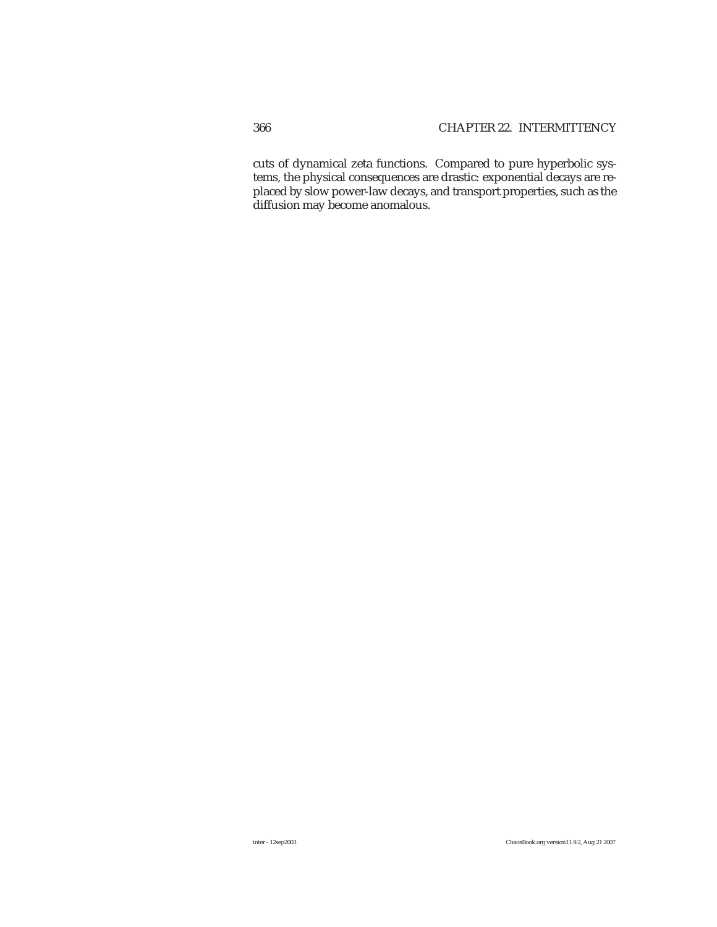cuts of dynamical zeta functions. Compared to pure hyperbolic systems, the physical consequences are drastic: exponential decays are replaced by slow power-law decays, and transport properties, such as the diffusion may become anomalous.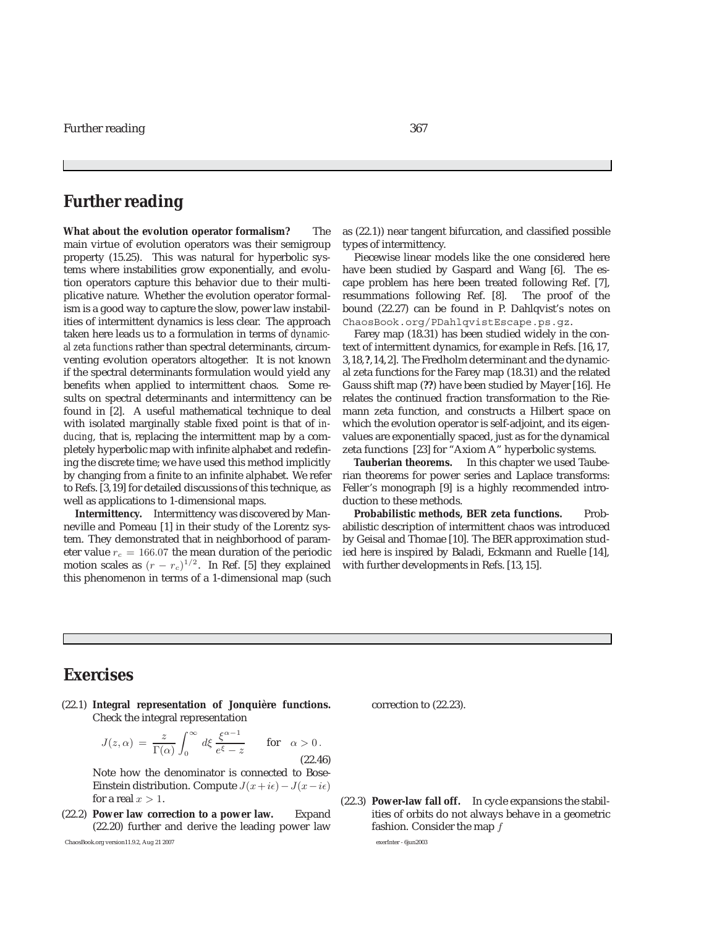# **Further reading**

**What about the evolution operator formalism?** The main virtue of evolution operators was their semigroup property (15.25). This was natural for hyperbolic systems where instabilities grow exponentially, and evolution operators capture this behavior due to their multiplicative nature. Whether the evolution operator formalism is a good way to capture the slow, power law instabilities of intermittent dynamics is less clear. The approach taken here leads us to a formulation in terms of *dynamical zeta functions* rather than spectral determinants, circumventing evolution operators altogether. It is not known if the spectral determinants formulation would yield any benefits when applied to intermittent chaos. Some results on spectral determinants and intermittency can be found in [2]. A useful mathematical technique to deal with isolated marginally stable fixed point is that of *inducing*, that is, replacing the intermittent map by a completely hyperbolic map with infinite alphabet and redefining the discrete time; we have used this method implicitly by changing from a finite to an infinite alphabet. We refer to Refs. [3,19] for detailed discussions of this technique, as well as applications to 1-dimensional maps.

**Intermittency.** Intermittency was discovered by Manneville and Pomeau [1] in their study of the Lorentz system. They demonstrated that in neighborhood of parameter value  $r_c = 166.07$  the mean duration of the periodic<br>motion scales as  $(r - r)^{1/2}$  . In Ref. [5] they explained motion scales as  $(r - r_c)^{1/2}$ . In Ref. [5] they explained<br>this phenomenon in terms of a 1-dimensional man (such this phenomenon in terms of a 1-dimensional map (such as (22.1)) near tangent bifurcation, and classified possible types of intermittency.

Piecewise linear models like the one considered here have been studied by Gaspard and Wang [6]. The escape problem has here been treated following Ref. [7], resummations following Ref. [8]. The proof of the bound (22.27) can be found in P. Dahlqvist's notes on ChaosBook.org/PDahlqvistEscape.ps.gz.

Farey map (18.31) has been studied widely in the context of intermittent dynamics, for example in Refs. [16, 17, 3,18,**?**,14,2]. The Fredholm determinant and the dynamical zeta functions for the Farey map (18.31) and the related Gauss shift map (**??**) have been studied by Mayer [16]. He relates the continued fraction transformation to the Riemann zeta function, and constructs a Hilbert space on which the evolution operator is self-adjoint, and its eigenvalues are exponentially spaced, just as for the dynamical zeta functions [23] for "Axiom A" hyperbolic systems.

**Tauberian theorems.** In this chapter we used Tauberian theorems for power series and Laplace transforms: Feller's monograph [9] is a highly recommended introduction to these methods.

Probabilistic methods, BER zeta functions. Probabilistic description of intermittent chaos was introduced by Geisal and Thomae [10]. The BER approximation studied here is inspired by Baladi, Eckmann and Ruelle [14], with further developments in Refs. [13, 15].

# **Exercises**

(22.1) **Integral representation of Jonquière functions.** Check the integral representation

$$
J(z, \alpha) = \frac{z}{\Gamma(\alpha)} \int_0^\infty d\xi \frac{\xi^{\alpha - 1}}{e^{\xi} - z} \quad \text{for} \quad \alpha > 0.
$$
\n(22.46)

Note how the denominator is connected to Bose-Einstein distribution. Compute  $J(x+i\epsilon) - J(x-i\epsilon)$ for a real  $x > 1$ .

(22.2) **Power law correction to a power law.** Expand (22.20) further and derive the leading power law

ChaosBook.org version11.9.2, Aug 21 2007 exerInter - 6jun2003

correction to (22.23).

(22.3) **Power-law fall off.** In cycle expansions the stabilities of orbits do not always behave in a geometric fashion. Consider the map f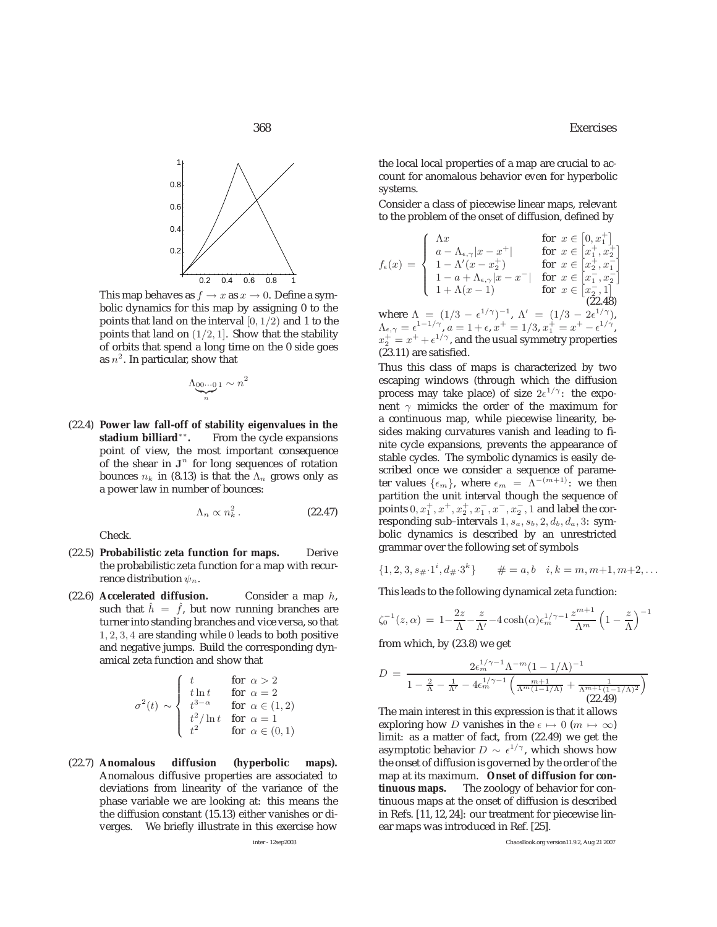

This map behaves as  $f \to x$  as  $x \to 0$ . Define a symbolic dynamics for this map by assigning 0 to the points that land on the interval  $[0, 1/2)$  and 1 to the points that land on  $(1/2, 1]$ . Show that the stability of orbits that spend a long time on the 0 side goes as  $n^2$ . In particular, show that

$$
\underbrace{\Lambda_{00\cdots 0}}_{n} \cdot n^2
$$

(22.4) **Power law fall-off of stability eigenvalues in the stadium billiard**∗∗**.** From the cycle expansions point of view, the most important consequence of the shear in  $J<sup>n</sup>$  for long sequences of rotation bounces  $n_k$  in (8.13) is that the  $\Lambda_n$  grows only as a power law in number of bounces:

$$
\Lambda_n \propto n_k^2 \,. \tag{22.47}
$$

Check.

- (22.5) **Probabilistic zeta function for maps.** Derive the probabilistic zeta function for a map with recurrence distribution  $\psi_n$ .
- (22.6) **Accelerated diffusion.** Consider a map h, such that  $h = f$ , but now running branches are<br>turner into standing branches and vice versa, so that turner into standing branches and vice versa, so that 1, 2, 3, 4 are standing while 0 leads to both positive and negative jumps. Build the corresponding dynamical zeta function and show that

$$
\sigma^{2}(t) \sim \begin{cases} t & \text{for } \alpha > 2 \\ t \ln t & \text{for } \alpha = 2 \\ t^{3-\alpha} & \text{for } \alpha \in (1,2) \\ t^{2}/\ln t & \text{for } \alpha = 1 \\ t^{2} & \text{for } \alpha \in (0,1) \end{cases}
$$

(22.7) **Anomalous diffusion (hyperbolic maps).** Anomalous diffusive properties are associated to deviations from linearity of the variance of the phase variable we are looking at: this means the the diffusion constant (15.13) either vanishes or diverges. We briefly illustrate in this exercise how

the local local properties of a map are crucial to account for anomalous behavior even for hyperbolic systems.

Consider a class of piecewise linear maps, relevant to the problem of the onset of diffusion, defined by

$$
f_{\epsilon}(x) = \begin{cases} \Lambda x & \text{for } x \in [0, x_{1}^{+}] \\ a - \Lambda_{\epsilon,\gamma} |x - x^{+}| & \text{for } x \in [x_{1}^{+}, x_{2}^{+}] \\ 1 - \Lambda'(x - x_{2}^{+}) & \text{for } x \in [x_{2}^{+}, x_{1}^{-}] \\ 1 - a + \Lambda_{\epsilon,\gamma} |x - x^{-}| & \text{for } x \in [x_{1}^{-}, x_{2}^{-}] \\ 1 + \Lambda(x - 1) & \text{for } x \in [x_{2}^{-}, 1] \\ (22.48) & \text{(22.48)} \end{cases}
$$

where  $\Lambda = (1/3 - \epsilon^{1/\gamma})$ )<sup>-1</sup>,  $\Lambda' = (1/3 - 2\epsilon^{1/\gamma})$ ,<br>  $\tau^{+} = 1/3 \tau^{+} - \tau^{+} - \epsilon^{1/\gamma}$  $\Lambda_{\epsilon,\gamma} = \epsilon^{1-1/\gamma}, \ a = 1 + \epsilon, \ x^+ = 1/3, \ x_1^+ = x^+ - \epsilon^{1/\gamma},$ <br>  $x^+ = x^+ + \epsilon^{1/\gamma}$  and the usual symmetry properties  $x_1^{\perp} = x^+ + \epsilon^{1/\gamma}$ , and the usual symmetry properties<br>(23.11) are satisfied (23.11) are satisfied.

Thus this class of maps is characterized by two escaping windows (through which the diffusion process may take place) of size  $2e^{1/\gamma}$ : the exponent  $\gamma$  mimicks the order of the maximum for a continuous map, while piecewise linearity, besides making curvatures vanish and leading to finite cycle expansions, prevents the appearance of stable cycles. The symbolic dynamics is easily described once we consider a sequence of parameter values  $\{\epsilon_m\}$ , where  $\epsilon_m = \Lambda^{-(m+1)}$ : we then partition the unit interval though the sequence of points  $0, x_1^+, x^+, x_2^+, x_1^-, x^-, x_2^-, 1$  and label the corresponding sub-intervals  $1, e, e, 2, d, d, 3$ ; symresponding sub-intervals  $1, s_a, s_b, 2, d_b, d_a, 3$ : symbolic dynamics is described by an unrestricted grammar over the following set of symbols

$$
\{1, 2, 3, s_{\#} \cdot 1^{i}, d_{\#} \cdot 3^{k}\} \qquad \# = a, b \quad i, k = m, m+1, m+2, \dots
$$

This leads to the following dynamical zeta function:

$$
\zeta_0^{-1}(z,\alpha) = 1 - \frac{2z}{\Lambda} - \frac{z}{\Lambda'} - 4\cosh(\alpha)\epsilon_m^{1/\gamma - 1} \frac{z^{m+1}}{\Lambda^m} \left(1 - \frac{z}{\Lambda}\right)^{-1}
$$

from which, by (23.8) we get

$$
D = \frac{2\epsilon_m^{1/\gamma - 1} \Lambda^{-m} (1 - 1/\Lambda)^{-1}}{1 - \frac{2}{\Lambda} - \frac{1}{\Lambda'} - 4\epsilon_m^{1/\gamma - 1} \left( \frac{m+1}{\Lambda^m (1 - 1/\Lambda)} + \frac{1}{\Lambda^{m+1} (1 - 1/\Lambda)^2} \right)}
$$
(22.49)

The main interest in this expression is that it allows exploring how D vanishes in the  $\epsilon \mapsto 0$  ( $m \mapsto \infty$ ) limit: as a matter of fact, from (22.49) we get the asymptotic behavior  $D \sim \epsilon^{1/\gamma}$ , which shows how the onset of diffusion is governed by the order of the map at its maximum. **Onset of diffusion for continuous maps.** The zoology of behavior for continuous maps at the onset of diffusion is described in Refs. [11, 12, 24]: our treatment for piecewise linear maps was introduced in Ref. [25].

inter - 12sep2003 ChaosBook.org version11.9.2, Aug 21 2007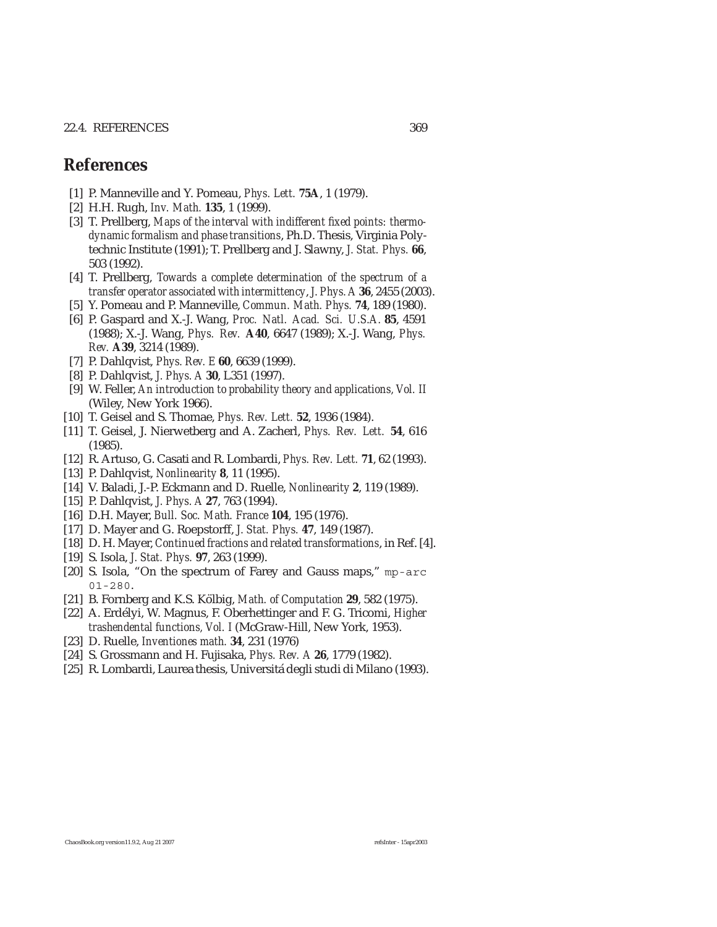## 22.4. REFERENCES 369

# **References**

- [1] P. Manneville and Y. Pomeau, *Phys. Lett.* **75A**, 1 (1979).
- [2] H.H. Rugh, *Inv. Math.* **135**, 1 (1999).
- [3] T. Prellberg, *Maps of the interval with indifferent fixed points: thermodynamic formalism and phase transitions*, Ph.D. Thesis, Virginia Polytechnic Institute (1991); T. Prellberg and J. Slawny, *J. Stat. Phys.* **66**, 503 (1992).
- [4] T. Prellberg, *Towards a complete determination of the spectrum of a transfer operator associated with intermittency*, *J. Phys. A* **36**, 2455 (2003).
- [5] Y. Pomeau and P. Manneville, *Commun. Math. Phys.* **74**, 189 (1980).
- [6] P. Gaspard and X.-J. Wang, *Proc. Natl. Acad. Sci. U.S.A.* **85**, 4591 (1988); X.-J. Wang, *Phys. Rev.* **A40**, 6647 (1989); X.-J. Wang, *Phys. Rev.* **A39**, 3214 (1989).
- [7] P. Dahlqvist, *Phys. Rev. E* **60**, 6639 (1999).
- [8] P. Dahlqvist, *J. Phys. A* **30**, L351 (1997).
- [9] W. Feller, *An introduction to probability theory and applications, Vol. II* (Wiley, New York 1966).
- [10] T. Geisel and S. Thomae, *Phys. Rev. Lett.* **52**, 1936 (1984).
- [11] T. Geisel, J. Nierwetberg and A. Zacherl, *Phys. Rev. Lett.* **54**, 616 (1985).
- [12] R. Artuso, G. Casati and R. Lombardi, *Phys. Rev. Lett.* **71**, 62 (1993).
- [13] P. Dahlqvist, *Nonlinearity* **8**, 11 (1995).
- [14] V. Baladi, J.-P. Eckmann and D. Ruelle, *Nonlinearity* **2**, 119 (1989).
- [15] P. Dahlqvist, *J. Phys. A* **27**, 763 (1994).
- [16] D.H. Mayer, *Bull. Soc. Math. France* **104**, 195 (1976).
- [17] D. Mayer and G. Roepstorff, *J. Stat. Phys.* **47**, 149 (1987).
- [18] D. H. Mayer, *Continued fractions and related transformations*, in Ref. [4].
- [19] S. Isola, *J. Stat. Phys.* **97**, 263 (1999).
- [20] S. Isola, "On the spectrum of Farey and Gauss maps," mp-arc 01-280.
- [21] B. Fornberg and K.S. K¨olbig, *Math. of Computation* **29**, 582 (1975).
- [22] A. Erd´elyi, W. Magnus, F. Oberhettinger and F. G. Tricomi, *Higher trashendental functions, Vol. I* (McGraw-Hill, New York, 1953).
- [23] D. Ruelle, *Inventiones math.* **34**, 231 (1976)
- [24] S. Grossmann and H. Fujisaka, *Phys. Rev. A* **26**, 1779 (1982).
- [25] R. Lombardi, Laurea thesis, Universitá degli studi di Milano (1993).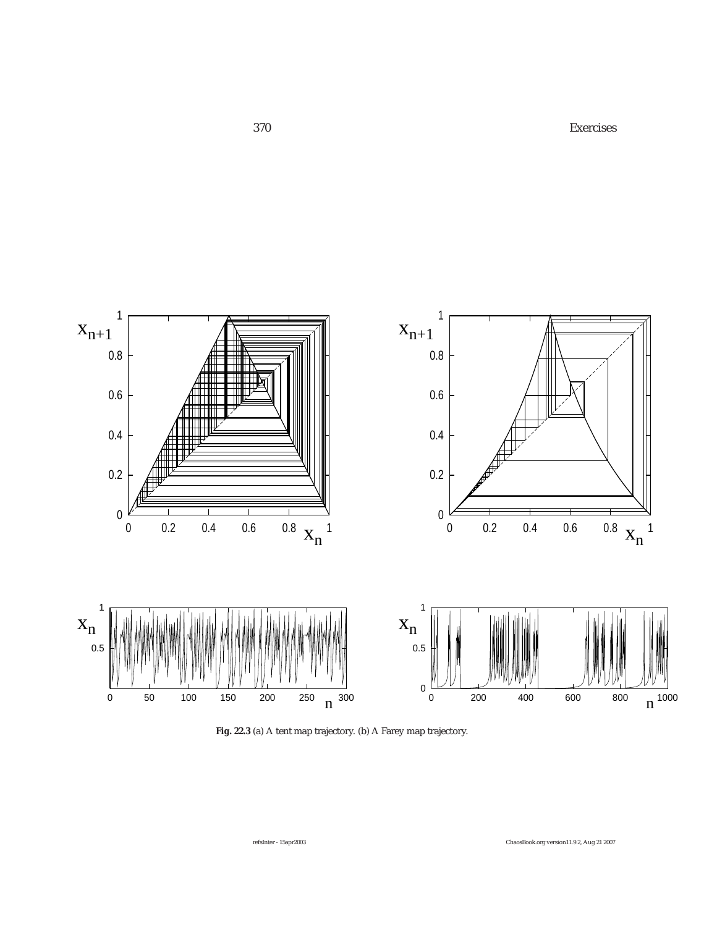370 Exercises



**Fig. 22.3** (a) A tent map trajectory. (b) A Farey map trajectory.